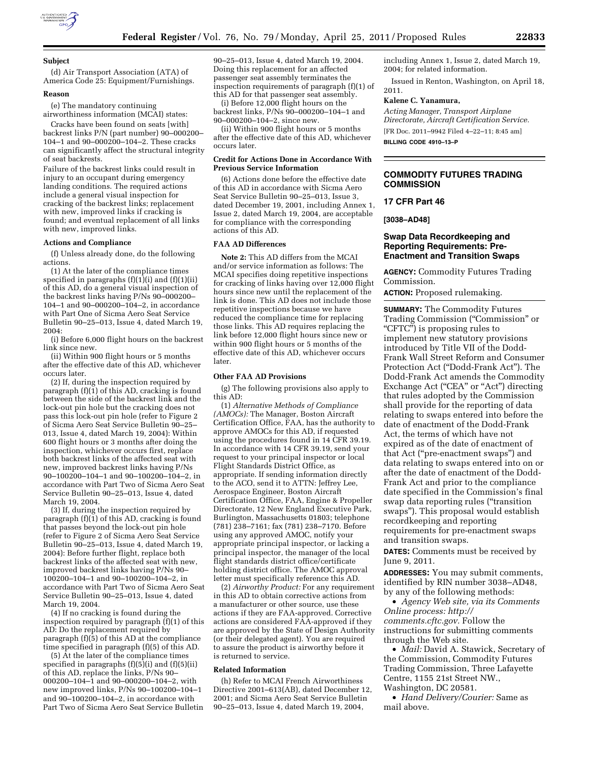

#### **Subject**

(d) Air Transport Association (ATA) of America Code 25: Equipment/Furnishings.

### **Reason**

(e) The mandatory continuing

airworthiness information (MCAI) states: Cracks have been found on seats [with] backrest links P/N (part number) 90–000200– 104–1 and 90–000200–104–2. These cracks can significantly affect the structural integrity of seat backrests.

Failure of the backrest links could result in injury to an occupant during emergency landing conditions. The required actions include a general visual inspection for cracking of the backrest links; replacement with new, improved links if cracking is found; and eventual replacement of all links with new, improved links.

#### **Actions and Compliance**

(f) Unless already done, do the following actions.

(1) At the later of the compliance times specified in paragraphs  $(f)(1)(i)$  and  $(f)(1)(ii)$ of this AD, do a general visual inspection of the backrest links having P/Ns 90–000200– 104–1 and 90–000200–104–2, in accordance with Part One of Sicma Aero Seat Service Bulletin 90–25–013, Issue 4, dated March 19, 2004:

(i) Before 6,000 flight hours on the backrest link since new.

(ii) Within 900 flight hours or 5 months after the effective date of this AD, whichever occurs later.

(2) If, during the inspection required by paragraph (f)(1) of this AD, cracking is found between the side of the backrest link and the lock-out pin hole but the cracking does not pass this lock-out pin hole (refer to Figure 2 of Sicma Aero Seat Service Bulletin 90–25– 013, Issue 4, dated March 19, 2004): Within 600 flight hours or 3 months after doing the inspection, whichever occurs first, replace both backrest links of the affected seat with new, improved backrest links having P/Ns 90–100200–104–1 and 90–100200–104–2, in accordance with Part Two of Sicma Aero Seat Service Bulletin 90–25–013, Issue 4, dated March 19, 2004.

(3) If, during the inspection required by paragraph (f)(1) of this AD, cracking is found that passes beyond the lock-out pin hole (refer to Figure 2 of Sicma Aero Seat Service Bulletin 90–25–013, Issue 4, dated March 19, 2004): Before further flight, replace both backrest links of the affected seat with new, improved backrest links having P/Ns 90– 100200–104–1 and 90–100200–104–2, in accordance with Part Two of Sicma Aero Seat Service Bulletin 90–25–013, Issue 4, dated March 19, 2004.

(4) If no cracking is found during the inspection required by paragraph (f)(1) of this AD: Do the replacement required by paragraph (f)(5) of this AD at the compliance time specified in paragraph (f)(5) of this AD.

(5) At the later of the compliance times specified in paragraphs  $(f)(5)(i)$  and  $(f)(5)(ii)$ of this AD, replace the links, P/Ns 90– 000200–104–1 and 90–000200–104–2, with new improved links, P/Ns 90–100200–104–1 and 90–100200–104–2, in accordance with Part Two of Sicma Aero Seat Service Bulletin 90–25–013, Issue 4, dated March 19, 2004. Doing this replacement for an affected passenger seat assembly terminates the inspection requirements of paragraph (f)(1) of this AD for that passenger seat assembly.

(i) Before 12,000 flight hours on the backrest links, P/Ns 90–000200–104–1 and 90–000200–104–2, since new.

(ii) Within 900 flight hours or 5 months after the effective date of this AD, whichever occurs later.

### **Credit for Actions Done in Accordance With Previous Service Information**

(6) Actions done before the effective date of this AD in accordance with Sicma Aero Seat Service Bulletin 90–25–013, Issue 3, dated December 19, 2001, including Annex 1, Issue 2, dated March 19, 2004, are acceptable for compliance with the corresponding actions of this AD.

### **FAA AD Differences**

**Note 2:** This AD differs from the MCAI and/or service information as follows: The MCAI specifies doing repetitive inspections for cracking of links having over 12,000 flight hours since new until the replacement of the link is done. This AD does not include those repetitive inspections because we have reduced the compliance time for replacing those links. This AD requires replacing the link before 12,000 flight hours since new or within 900 flight hours or 5 months of the effective date of this AD, whichever occurs later.

### **Other FAA AD Provisions**

(g) The following provisions also apply to this AD:

(1) *Alternative Methods of Compliance (AMOCs):* The Manager, Boston Aircraft Certification Office, FAA, has the authority to approve AMOCs for this AD, if requested using the procedures found in 14 CFR 39.19. In accordance with 14 CFR 39.19, send your request to your principal inspector or local Flight Standards District Office, as appropriate. If sending information directly to the ACO, send it to ATTN: Jeffrey Lee, Aerospace Engineer, Boston Aircraft Certification Office, FAA, Engine & Propeller Directorate, 12 New England Executive Park, Burlington, Massachusetts 01803; telephone (781) 238–7161; fax (781) 238–7170. Before using any approved AMOC, notify your appropriate principal inspector, or lacking a principal inspector, the manager of the local flight standards district office/certificate holding district office. The AMOC approval letter must specifically reference this AD.

(2) *Airworthy Product:* For any requirement in this AD to obtain corrective actions from a manufacturer or other source, use these actions if they are FAA-approved. Corrective actions are considered FAA-approved if they are approved by the State of Design Authority (or their delegated agent). You are required to assure the product is airworthy before it is returned to service.

## **Related Information**

(h) Refer to MCAI French Airworthiness Directive 2001–613(AB), dated December 12, 2001; and Sicma Aero Seat Service Bulletin 90–25–013, Issue 4, dated March 19, 2004,

including Annex 1, Issue 2, dated March 19, 2004; for related information.

Issued in Renton, Washington, on April 18, 2011.

### **Kalene C. Yanamura,**

*Acting Manager, Transport Airplane Directorate, Aircraft Certification Service.*  [FR Doc. 2011–9942 Filed 4–22–11; 8:45 am] **BILLING CODE 4910–13–P** 

# **COMMODITY FUTURES TRADING COMMISSION**

### **17 CFR Part 46**

### **[3038–AD48]**

## **Swap Data Recordkeeping and Reporting Requirements: Pre-Enactment and Transition Swaps**

**AGENCY:** Commodity Futures Trading Commission.

**ACTION:** Proposed rulemaking.

**SUMMARY:** The Commodity Futures Trading Commission (''Commission'' or "CFTC") is proposing rules to implement new statutory provisions introduced by Title VII of the Dodd-Frank Wall Street Reform and Consumer Protection Act (''Dodd-Frank Act''). The Dodd-Frank Act amends the Commodity Exchange Act ("CEA" or "Act") directing that rules adopted by the Commission shall provide for the reporting of data relating to swaps entered into before the date of enactment of the Dodd-Frank Act, the terms of which have not expired as of the date of enactment of that Act (''pre-enactment swaps'') and data relating to swaps entered into on or after the date of enactment of the Dodd-Frank Act and prior to the compliance date specified in the Commission's final swap data reporting rules ("transition swaps''). This proposal would establish recordkeeping and reporting requirements for pre-enactment swaps and transition swaps.

**DATES:** Comments must be received by June 9, 2011.

**ADDRESSES:** You may submit comments, identified by RIN number 3038–AD48, by any of the following methods:

• *Agency Web site, via its Comments Online process: [http://](http://comments.cftc.gov) [comments.cftc.gov.](http://comments.cftc.gov)* Follow the instructions for submitting comments through the Web site.

• *Mail:* David A. Stawick, Secretary of the Commission, Commodity Futures Trading Commission, Three Lafayette Centre, 1155 21st Street NW., Washington, DC 20581.

• *Hand Delivery/Courier:* Same as mail above.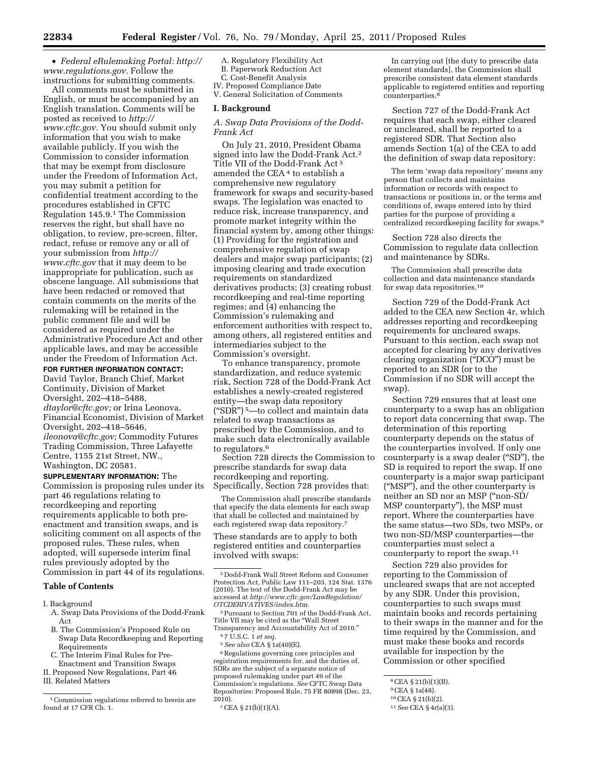• *Federal eRulemaking Portal: [http://](http://www.regulations.gov)  [www.regulations.gov.](http://www.regulations.gov)* Follow the instructions for submitting comments.

All comments must be submitted in English, or must be accompanied by an English translation. Comments will be posted as received to *[http://](http://www.cftc.gov) [www.cftc.gov.](http://www.cftc.gov)* You should submit only information that you wish to make available publicly. If you wish the Commission to consider information that may be exempt from disclosure under the Freedom of Information Act, you may submit a petition for confidential treatment according to the procedures established in CFTC Regulation 145.9.1 The Commission reserves the right, but shall have no obligation, to review, pre-screen, filter, redact, refuse or remove any or all of your submission from *[http://](http://www.cftc.gov) [www.cftc.gov](http://www.cftc.gov)* that it may deem to be inappropriate for publication, such as obscene language. All submissions that have been redacted or removed that contain comments on the merits of the rulemaking will be retained in the public comment file and will be considered as required under the Administrative Procedure Act and other applicable laws, and may be accessible under the Freedom of Information Act.

**FOR FURTHER INFORMATION CONTACT:** 

David Taylor, Branch Chief, Market Continuity, Division of Market Oversight, 202–418–5488, *[dtaylor@cftc.gov;](mailto:dtaylor@cftc.gov)* or Irina Leonova, Financial Economist, Division of Market Oversight, 202–418–5646, *[ileonova@cftc.gov;](mailto:ileonova@cftc.gov)* Commodity Futures Trading Commission, Three Lafayette Centre, 1155 21st Street, NW., Washington, DC 20581.

**SUPPLEMENTARY INFORMATION:** The Commission is proposing rules under its part 46 regulations relating to recordkeeping and reporting requirements applicable to both preenactment and transition swaps, and is soliciting comment on all aspects of the proposed rules. These rules, when adopted, will supersede interim final rules previously adopted by the Commission in part 44 of its regulations.

# **Table of Contents**

I. Background

- A. Swap Data Provisions of the Dodd-Frank Act
- B. The Commission's Proposed Rule on Swap Data Recordkeeping and Reporting Requirements
- C. The Interim Final Rules for Pre-Enactment and Transition Swaps
- II. Proposed New Regulations, Part 46

III. Related Matters

A. Regulatory Flexibility Act B. Paperwork Reduction Act C. Cost-Benefit Analysis

IV. Proposed Compliance Date V. General Solicitation of Comments

## **I. Background**

# *A. Swap Data Provisions of the Dodd-Frank Act*

On July 21, 2010, President Obama signed into law the Dodd-Frank Act.2 Title VII of the Dodd-Frank Act 3 amended the CEA<sup>4</sup> to establish a comprehensive new regulatory framework for swaps and security-based swaps. The legislation was enacted to reduce risk, increase transparency, and promote market integrity within the financial system by, among other things: (1) Providing for the registration and comprehensive regulation of swap dealers and major swap participants; (2) imposing clearing and trade execution requirements on standardized derivatives products; (3) creating robust recordkeeping and real-time reporting regimes; and  $\overline{4}$ ) enhancing the Commission's rulemaking and enforcement authorities with respect to, among others, all registered entities and intermediaries subject to the Commission's oversight.

To enhance transparency, promote standardization, and reduce systemic risk, Section 728 of the Dodd-Frank Act establishes a newly-created registered entity—the swap data repository (''SDR'') 5—to collect and maintain data related to swap transactions as prescribed by the Commission, and to make such data electronically available to regulators.6

Section 728 directs the Commission to prescribe standards for swap data recordkeeping and reporting. Specifically, Section 728 provides that:

The Commission shall prescribe standards that specify the data elements for each swap that shall be collected and maintained by each registered swap data repository.7

These standards are to apply to both registered entities and counterparties involved with swaps:

3Pursuant to Section 701 of the Dodd-Frank Act, Title VII may be cited as the ''Wall Street Transparency and Accountability Act of 2010.''

4 7 U.S.C. 1 *et seq.* 5*See also* CEA § 1a(40)(E).

6Regulations governing core principles and registration requirements for, and the duties of, SDRs are the subject of a separate notice of proposed rulemaking under part 49 of the Commission's regulations. *See* CFTC Swap Data Repositories: Proposed Rule, 75 FR 80898 (Dec. 23,  $2010$ .

7CEA § 21(b)(1)(A).

In carrying out [the duty to prescribe data element standards], the Commission shall prescribe consistent data element standards applicable to registered entities and reporting counterparties.8

Section 727 of the Dodd-Frank Act requires that each swap, either cleared or uncleared, shall be reported to a registered SDR. That Section also amends Section 1(a) of the CEA to add the definition of swap data repository:

The term 'swap data repository' means any person that collects and maintains information or records with respect to transactions or positions in, or the terms and conditions of, swaps entered into by third parties for the purpose of providing a centralized recordkeeping facility for swaps.9

Section 728 also directs the Commission to regulate data collection and maintenance by SDRs.

The Commission shall prescribe data collection and data maintenance standards for swap data repositories.10

Section 729 of the Dodd-Frank Act added to the CEA new Section 4r, which addresses reporting and recordkeeping requirements for uncleared swaps. Pursuant to this section, each swap not accepted for clearing by any derivatives clearing organization (''DCO'') must be reported to an SDR (or to the Commission if no SDR will accept the swap).

Section 729 ensures that at least one counterparty to a swap has an obligation to report data concerning that swap. The determination of this reporting counterparty depends on the status of the counterparties involved. If only one counterparty is a swap dealer ("SD"), the SD is required to report the swap. If one counterparty is a major swap participant (''MSP''), and the other counterparty is neither an SD nor an MSP (''non-SD/ MSP counterparty''), the MSP must report. Where the counterparties have the same status—two SDs, two MSPs, or two non-SD/MSP counterparties—the counterparties must select a counterparty to report the swap.11

Section 729 also provides for reporting to the Commission of uncleared swaps that are not accepted by any SDR. Under this provision, counterparties to such swaps must maintain books and records pertaining to their swaps in the manner and for the time required by the Commission, and must make these books and records available for inspection by the Commission or other specified

<sup>1</sup>Commission regulations referred to herein are found at 17 CFR Ch. 1.

<sup>2</sup> Dodd-Frank Wall Street Reform and Consumer Protection Act, Public Law 111–203, 124 Stat. 1376 (2010). The text of the Dodd-Frank Act may be accessed at *[http://www.cftc.gov/LawRegulation/](http://www.cftc.gov/LawRegulation/OTCDERIVATIVES/index.htm) [OTCDERIVATIVES/index.htm.](http://www.cftc.gov/LawRegulation/OTCDERIVATIVES/index.htm)* 

<sup>8</sup>CEA § 21(b)(1)(B).

<sup>9</sup>CEA § 1a(48).

<sup>10</sup>CEA § 21(b)(2).

<sup>11</sup>*See* CEA § 4r(a)(3).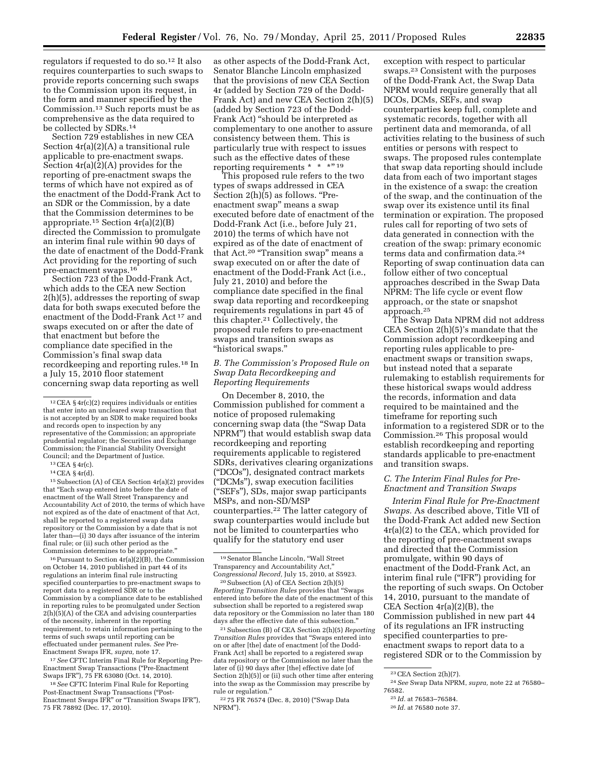regulators if requested to do so.12 It also requires counterparties to such swaps to provide reports concerning such swaps to the Commission upon its request, in the form and manner specified by the Commission.13 Such reports must be as comprehensive as the data required to be collected by SDRs.14

Section 729 establishes in new CEA Section 4r(a)(2)(A) a transitional rule applicable to pre-enactment swaps. Section 4r(a)(2)(A) provides for the reporting of pre-enactment swaps the terms of which have not expired as of the enactment of the Dodd-Frank Act to an SDR or the Commission, by a date that the Commission determines to be appropriate.<sup>15</sup> Section  $4r(a)(2)(B)$ directed the Commission to promulgate an interim final rule within 90 days of the date of enactment of the Dodd-Frank Act providing for the reporting of such pre-enactment swaps.16

Section 723 of the Dodd-Frank Act, which adds to the CEA new Section 2(h)(5), addresses the reporting of swap data for both swaps executed before the enactment of the Dodd-Frank Act 17 and swaps executed on or after the date of that enactment but before the compliance date specified in the Commission's final swap data recordkeeping and reporting rules.18 In a July 15, 2010 floor statement concerning swap data reporting as well

13CEA § 4r(c).

14CEA § 4r(d).

15Subsection (A) of CEA Section 4r(a)(2) provides that ''Each swap entered into before the date of enactment of the Wall Street Transparency and Accountability Act of 2010, the terms of which have not expired as of the date of enactment of that Act, shall be reported to a registered swap data repository or the Commission by a date that is not later than—(i) 30 days after issuance of the interim final rule; or (ii) such other period as the Commission determines to be appropriate.''

16Pursuant to Section 4r(a)(2)(B), the Commission on October 14, 2010 published in part 44 of its regulations an interim final rule instructing specified counterparties to pre-enactment swaps to report data to a registered SDR or to the Commission by a compliance date to be established in reporting rules to be promulgated under Section 2(h)(5)(A) of the CEA and advising counterparties of the necessity, inherent in the reporting requirement, to retain information pertaining to the terms of such swaps until reporting can be effectuated under permanent rules. *See* Pre-Enactment Swaps IFR, *supra,* note 17.

17*See* CFTC Interim Final Rule for Reporting Pre-Enactment Swap Transactions (''Pre-Enactment Swaps IFR''), 75 FR 63080 (Oct. 14, 2010).

18*See* CFTC Interim Final Rule for Reporting Post-Enactment Swap Transactions (''Post-Enactment Swaps IFR'' or ''Transition Swaps IFR''), 75 FR 78892 (Dec. 17, 2010).

as other aspects of the Dodd-Frank Act, Senator Blanche Lincoln emphasized that the provisions of new CEA Section 4r (added by Section 729 of the Dodd-Frank Act) and new CEA Section 2(h)(5) (added by Section 723 of the Dodd-Frank Act) ''should be interpreted as complementary to one another to assure consistency between them. This is particularly true with respect to issues such as the effective dates of these reporting requirements  $* * * "19"$ 

This proposed rule refers to the two types of swaps addressed in CEA Section  $2(h)(5)$  as follows. "Preenactment swap'' means a swap executed before date of enactment of the Dodd-Frank Act (i.e., before July 21, 2010) the terms of which have not expired as of the date of enactment of that Act.<sup>20</sup> "Transition swap" means a swap executed on or after the date of enactment of the Dodd-Frank Act (i.e., July 21, 2010) and before the compliance date specified in the final swap data reporting and recordkeeping requirements regulations in part 45 of this chapter.21 Collectively, the proposed rule refers to pre-enactment swaps and transition swaps as ''historical swaps.''

## *B. The Commission's Proposed Rule on Swap Data Recordkeeping and Reporting Requirements*

On December 8, 2010, the Commission published for comment a notice of proposed rulemaking concerning swap data (the ''Swap Data NPRM'') that would establish swap data recordkeeping and reporting requirements applicable to registered SDRs, derivatives clearing organizations (''DCOs''), designated contract markets (''DCMs''), swap execution facilities (''SEFs''), SDs, major swap participants MSPs, and non-SD/MSP counterparties.22 The latter category of swap counterparties would include but not be limited to counterparties who qualify for the statutory end user

20Subsection (A) of CEA Section 2(h)(5) *Reporting Transition Rules* provides that ''Swaps entered into before the date of the enactment of this subsection shall be reported to a registered swap data repository or the Commission no later than 180 days after the effective date of this subsection.''

21Subsection (B) of CEA Section 2(h)(5) *Reporting Transition Rules* provides that ''Swaps entered into on or after [the] date of enactment [of the Dodd-Frank Act] shall be reported to a registered swap data repository or the Commission no later than the later of (i) 90 days after [the] effective date [of Section 2(h)(5)] or (ii) such other time after entering into the swap as the Commission may prescribe by rule or regulation.''

22 75 FR 76574 (Dec. 8, 2010) (''Swap Data NPRM'').

exception with respect to particular swaps.23 Consistent with the purposes of the Dodd-Frank Act, the Swap Data NPRM would require generally that all DCOs, DCMs, SEFs, and swap counterparties keep full, complete and systematic records, together with all pertinent data and memoranda, of all activities relating to the business of such entities or persons with respect to swaps. The proposed rules contemplate that swap data reporting should include data from each of two important stages in the existence of a swap: the creation of the swap, and the continuation of the swap over its existence until its final termination or expiration. The proposed rules call for reporting of two sets of data generated in connection with the creation of the swap: primary economic terms data and confirmation data.24 Reporting of swap continuation data can follow either of two conceptual approaches described in the Swap Data NPRM: The life cycle or event flow approach, or the state or snapshot approach.25

The Swap Data NPRM did not address CEA Section 2(h)(5)'s mandate that the Commission adopt recordkeeping and reporting rules applicable to preenactment swaps or transition swaps, but instead noted that a separate rulemaking to establish requirements for these historical swaps would address the records, information and data required to be maintained and the timeframe for reporting such information to a registered SDR or to the Commission.26 This proposal would establish recordkeeping and reporting standards applicable to pre-enactment and transition swaps.

## *C. The Interim Final Rules for Pre-Enactment and Transition Swaps*

*Interim Final Rule for Pre-Enactment Swaps.* As described above, Title VII of the Dodd-Frank Act added new Section 4r(a)(2) to the CEA, which provided for the reporting of pre-enactment swaps and directed that the Commission promulgate, within 90 days of enactment of the Dodd-Frank Act, an interim final rule (''IFR'') providing for the reporting of such swaps. On October 14, 2010, pursuant to the mandate of CEA Section 4r(a)(2)(B), the Commission published in new part 44 of its regulations an IFR instructing specified counterparties to preenactment swaps to report data to a registered SDR or to the Commission by

<sup>12</sup>CEA § 4r(c)(2) requires individuals or entities that enter into an uncleared swap transaction that is not accepted by an SDR to make required books and records open to inspection by any representative of the Commission; an appropriate prudential regulator; the Securities and Exchange Commission; the Financial Stability Oversight Council; and the Department of Justice.

<sup>19</sup>Senator Blanche Lincoln, ''Wall Street Transparency and Accountability Act,'' Co*ngressional Record,* July 15, 2010, at S5923.

 $23$  CEA Section 2(h)(7).

<sup>24</sup>*See* Swap Data NPRM, *supra,* note 22 at 76580– 76582.

<sup>25</sup> *Id.* at 76583–76584.

<sup>26</sup> *Id.* at 76580 note 37.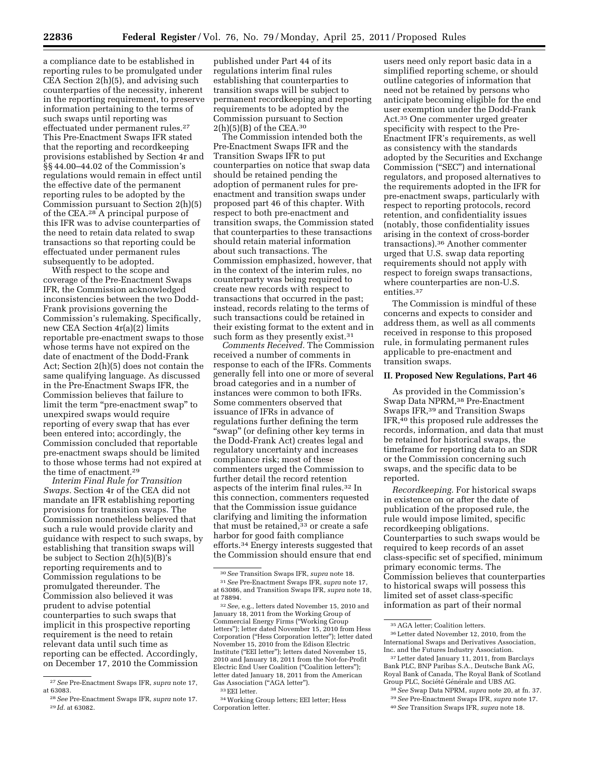a compliance date to be established in reporting rules to be promulgated under CEA Section 2(h)(5), and advising such counterparties of the necessity, inherent in the reporting requirement, to preserve information pertaining to the terms of such swaps until reporting was effectuated under permanent rules.27 This Pre-Enactment Swaps IFR stated that the reporting and recordkeeping provisions established by Section 4r and §§ 44.00–44.02 of the Commission's regulations would remain in effect until the effective date of the permanent reporting rules to be adopted by the Commission pursuant to Section 2(h)(5) of the CEA.28 A principal purpose of this IFR was to advise counterparties of the need to retain data related to swap transactions so that reporting could be effectuated under permanent rules subsequently to be adopted.

With respect to the scope and coverage of the Pre-Enactment Swaps IFR, the Commission acknowledged inconsistencies between the two Dodd-Frank provisions governing the Commission's rulemaking. Specifically, new CEA Section 4r(a)(2) limits reportable pre-enactment swaps to those whose terms have not expired on the date of enactment of the Dodd-Frank Act; Section 2(h)(5) does not contain the same qualifying language. As discussed in the Pre-Enactment Swaps IFR, the Commission believes that failure to limit the term "pre-enactment swap" to unexpired swaps would require reporting of every swap that has ever been entered into; accordingly, the Commission concluded that reportable pre-enactment swaps should be limited to those whose terms had not expired at the time of enactment.29

*Interim Final Rule for Transition Swaps.* Section 4r of the CEA did not mandate an IFR establishing reporting provisions for transition swaps. The Commission nonetheless believed that such a rule would provide clarity and guidance with respect to such swaps, by establishing that transition swaps will be subject to Section 2(h)(5)(B)'s reporting requirements and to Commission regulations to be promulgated thereunder. The Commission also believed it was prudent to advise potential counterparties to such swaps that implicit in this prospective reporting requirement is the need to retain relevant data until such time as reporting can be effected. Accordingly, on December 17, 2010 the Commission

published under Part 44 of its regulations interim final rules establishing that counterparties to transition swaps will be subject to permanent recordkeeping and reporting requirements to be adopted by the Commission pursuant to Section  $2(h)(5)(B)$  of the CEA.<sup>30</sup>

The Commission intended both the Pre-Enactment Swaps IFR and the Transition Swaps IFR to put counterparties on notice that swap data should be retained pending the adoption of permanent rules for preenactment and transition swaps under proposed part 46 of this chapter. With respect to both pre-enactment and transition swaps, the Commission stated that counterparties to these transactions should retain material information about such transactions. The Commission emphasized, however, that in the context of the interim rules, no counterparty was being required to create new records with respect to transactions that occurred in the past; instead, records relating to the terms of such transactions could be retained in their existing format to the extent and in such form as they presently exist.<sup>31</sup>

*Comments Received.* The Commission received a number of comments in response to each of the IFRs. Comments generally fell into one or more of several broad categories and in a number of instances were common to both IFRs. Some commenters observed that issuance of IFRs in advance of regulations further defining the term ''swap'' (or defining other key terms in the Dodd-Frank Act) creates legal and regulatory uncertainty and increases compliance risk; most of these commenters urged the Commission to further detail the record retention aspects of the interim final rules.32 In this connection, commenters requested that the Commission issue guidance clarifying and limiting the information that must be retained,  $33$  or create a safe harbor for good faith compliance efforts.34 Energy interests suggested that the Commission should ensure that end

34Working Group letters; EEI letter; Hess Corporation letter.

users need only report basic data in a simplified reporting scheme, or should outline categories of information that need not be retained by persons who anticipate becoming eligible for the end user exemption under the Dodd-Frank Act.35 One commenter urged greater specificity with respect to the Pre-Enactment IFR's requirements, as well as consistency with the standards adopted by the Securities and Exchange Commission (''SEC'') and international regulators, and proposed alternatives to the requirements adopted in the IFR for pre-enactment swaps, particularly with respect to reporting protocols, record retention, and confidentiality issues (notably, those confidentiality issues arising in the context of cross-border transactions).36 Another commenter urged that U.S. swap data reporting requirements should not apply with respect to foreign swaps transactions, where counterparties are non-U.S. entities.37

The Commission is mindful of these concerns and expects to consider and address them, as well as all comments received in response to this proposed rule, in formulating permanent rules applicable to pre-enactment and transition swaps.

### **II. Proposed New Regulations, Part 46**

As provided in the Commission's Swap Data NPRM,38 Pre-Enactment Swaps IFR,39 and Transition Swaps IFR,40 this proposed rule addresses the records, information, and data that must be retained for historical swaps, the timeframe for reporting data to an SDR or the Commission concerning such swaps, and the specific data to be reported.

*Recordkeeping.* For historical swaps in existence on or after the date of publication of the proposed rule, the rule would impose limited, specific recordkeeping obligations. Counterparties to such swaps would be required to keep records of an asset class-specific set of specified, minimum primary economic terms. The Commission believes that counterparties to historical swaps will possess this limited set of asset class-specific information as part of their normal

<sup>27</sup>*See* Pre-Enactment Swaps IFR, *supra* note 17, at 63083.

<sup>28</sup>*See* Pre-Enactment Swaps IFR, *supra* note 17. 29 *Id.* at 63082.

<sup>30</sup>*See* Transition Swaps IFR, *supra* note 18.

<sup>31</sup>*See* Pre-Enactment Swaps IFR, *supra* note 17, at 63086, and Transition Swaps IFR, *supra* note 18, at 78894.

<sup>32</sup>*See,* e.g., letters dated November 15, 2010 and January 18, 2011 from the Working Group of Commercial Energy Firms (''Working Group letters"); letter dated November 15, 2010 from Hess Corporation (''Hess Corporation letter''); letter dated November 15, 2010 from the Edison Electric Institute (''EEI letter''); letters dated November 15, 2010 and January 18, 2011 from the Not-for-Profit Electric End User Coalition ("Coalition letters"); letter dated January 18, 2011 from the American Gas Association ("AGA letter").

<sup>33</sup>EEI letter.

<sup>35</sup>AGA letter; Coalition letters.

<sup>36</sup>Letter dated November 12, 2010, from the International Swaps and Derivatives Association, Inc. and the Futures Industry Association.

<sup>37</sup>Letter dated January 11, 2011, from Barclays Bank PLC, BNP Paribas S.A., Deutsche Bank AG, Royal Bank of Canada, The Royal Bank of Scotland Group PLC, Société Générale and UBS AG.

<sup>38</sup>*See* Swap Data NPRM, *supra* note 20, at fn. 37. 39*See* Pre-Enactment Swaps IFR, *supra* note 17. 40*See* Transition Swaps IFR, *supra* note 18.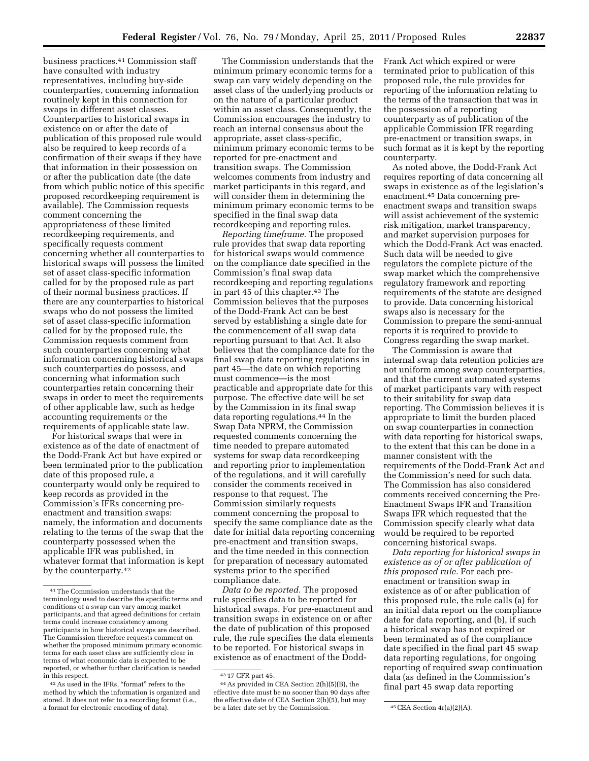business practices.41 Commission staff have consulted with industry representatives, including buy-side counterparties, concerning information routinely kept in this connection for swaps in different asset classes. Counterparties to historical swaps in existence on or after the date of publication of this proposed rule would also be required to keep records of a confirmation of their swaps if they have that information in their possession on or after the publication date (the date from which public notice of this specific proposed recordkeeping requirement is available). The Commission requests comment concerning the appropriateness of these limited recordkeeping requirements, and specifically requests comment concerning whether all counterparties to historical swaps will possess the limited set of asset class-specific information called for by the proposed rule as part of their normal business practices. If there are any counterparties to historical swaps who do not possess the limited set of asset class-specific information called for by the proposed rule, the Commission requests comment from such counterparties concerning what information concerning historical swaps such counterparties do possess, and concerning what information such counterparties retain concerning their swaps in order to meet the requirements of other applicable law, such as hedge accounting requirements or the requirements of applicable state law.

For historical swaps that were in existence as of the date of enactment of the Dodd-Frank Act but have expired or been terminated prior to the publication date of this proposed rule, a counterparty would only be required to keep records as provided in the Commission's IFRs concerning preenactment and transition swaps: namely, the information and documents relating to the terms of the swap that the counterparty possessed when the applicable IFR was published, in whatever format that information is kept by the counterparty.42

The Commission understands that the minimum primary economic terms for a swap can vary widely depending on the asset class of the underlying products or on the nature of a particular product within an asset class. Consequently, the Commission encourages the industry to reach an internal consensus about the appropriate, asset class-specific, minimum primary economic terms to be reported for pre-enactment and transition swaps. The Commission welcomes comments from industry and market participants in this regard, and will consider them in determining the minimum primary economic terms to be specified in the final swap data recordkeeping and reporting rules.

*Reporting timeframe.* The proposed rule provides that swap data reporting for historical swaps would commence on the compliance date specified in the Commission's final swap data recordkeeping and reporting regulations in part 45 of this chapter.<sup>43</sup> The Commission believes that the purposes of the Dodd-Frank Act can be best served by establishing a single date for the commencement of all swap data reporting pursuant to that Act. It also believes that the compliance date for the final swap data reporting regulations in part 45—the date on which reporting must commence—is the most practicable and appropriate date for this purpose. The effective date will be set by the Commission in its final swap data reporting regulations.44 In the Swap Data NPRM, the Commission requested comments concerning the time needed to prepare automated systems for swap data recordkeeping and reporting prior to implementation of the regulations, and it will carefully consider the comments received in response to that request. The Commission similarly requests comment concerning the proposal to specify the same compliance date as the date for initial data reporting concerning pre-enactment and transition swaps, and the time needed in this connection for preparation of necessary automated systems prior to the specified compliance date.

*Data to be reported.* The proposed rule specifies data to be reported for historical swaps. For pre-enactment and transition swaps in existence on or after the date of publication of this proposed rule, the rule specifies the data elements to be reported. For historical swaps in existence as of enactment of the DoddFrank Act which expired or were terminated prior to publication of this proposed rule, the rule provides for reporting of the information relating to the terms of the transaction that was in the possession of a reporting counterparty as of publication of the applicable Commission IFR regarding pre-enactment or transition swaps, in such format as it is kept by the reporting counterparty.

As noted above, the Dodd-Frank Act requires reporting of data concerning all swaps in existence as of the legislation's enactment.45 Data concerning preenactment swaps and transition swaps will assist achievement of the systemic risk mitigation, market transparency, and market supervision purposes for which the Dodd-Frank Act was enacted. Such data will be needed to give regulators the complete picture of the swap market which the comprehensive regulatory framework and reporting requirements of the statute are designed to provide. Data concerning historical swaps also is necessary for the Commission to prepare the semi-annual reports it is required to provide to Congress regarding the swap market.

The Commission is aware that internal swap data retention policies are not uniform among swap counterparties, and that the current automated systems of market participants vary with respect to their suitability for swap data reporting. The Commission believes it is appropriate to limit the burden placed on swap counterparties in connection with data reporting for historical swaps, to the extent that this can be done in a manner consistent with the requirements of the Dodd-Frank Act and the Commission's need for such data. The Commission has also considered comments received concerning the Pre-Enactment Swaps IFR and Transition Swaps IFR which requested that the Commission specify clearly what data would be required to be reported concerning historical swaps.

*Data reporting for historical swaps in existence as of or after publication of this proposed rule.* For each preenactment or transition swap in existence as of or after publication of this proposed rule, the rule calls (a) for an initial data report on the compliance date for data reporting, and (b), if such a historical swap has not expired or been terminated as of the compliance date specified in the final part 45 swap data reporting regulations, for ongoing reporting of required swap continuation data (as defined in the Commission's final part 45 swap data reporting

<sup>41</sup>The Commission understands that the terminology used to describe the specific terms and conditions of a swap can vary among market participants, and that agreed definitions for certain terms could increase consistency among participants in how historical swaps are described. The Commission therefore requests comment on whether the proposed minimum primary economic terms for each asset class are sufficiently clear in terms of what economic data is expected to be reported, or whether further clarification is needed in this respect.

<sup>42</sup>As used in the IFRs, ''format'' refers to the method by which the information is organized and stored. It does not refer to a recording format (i.e., a format for electronic encoding of data).

 $43$  17 CFR part 45.

<sup>44</sup>As provided in CEA Section 2(h)(5)(B), the effective date must be no sooner than 90 days after the effective date of CEA Section 2(h)(5), but may be a later date set by the Commission.  $45$  CEA Section  $4r(a)(2)(A)$ .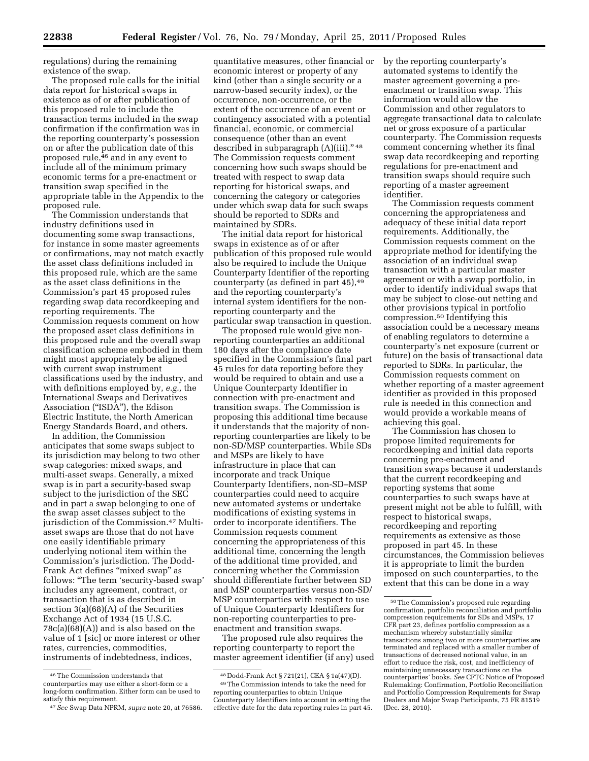regulations) during the remaining existence of the swap.

The proposed rule calls for the initial data report for historical swaps in existence as of or after publication of this proposed rule to include the transaction terms included in the swap confirmation if the confirmation was in the reporting counterparty's possession on or after the publication date of this proposed rule,<sup>46</sup> and in any event to include all of the minimum primary economic terms for a pre-enactment or transition swap specified in the appropriate table in the Appendix to the proposed rule.

The Commission understands that industry definitions used in documenting some swap transactions, for instance in some master agreements or confirmations, may not match exactly the asset class definitions included in this proposed rule, which are the same as the asset class definitions in the Commission's part 45 proposed rules regarding swap data recordkeeping and reporting requirements. The Commission requests comment on how the proposed asset class definitions in this proposed rule and the overall swap classification scheme embodied in them might most appropriately be aligned with current swap instrument classifications used by the industry, and with definitions employed by, *e.g.,* the International Swaps and Derivatives Association (''ISDA''), the Edison Electric Institute, the North American Energy Standards Board, and others.

In addition, the Commission anticipates that some swaps subject to its jurisdiction may belong to two other swap categories: mixed swaps, and multi-asset swaps. Generally, a mixed swap is in part a security-based swap subject to the jurisdiction of the SEC and in part a swap belonging to one of the swap asset classes subject to the jurisdiction of the Commission.<sup>47</sup> Multiasset swaps are those that do not have one easily identifiable primary underlying notional item within the Commission's jurisdiction. The Dodd-Frank Act defines "mixed swap" as follows: ''The term 'security-based swap' includes any agreement, contract, or transaction that is as described in section 3(a)(68)(A) of the Securities Exchange Act of 1934 (15 U.S.C. 78c(a)(68)(A)) and is also based on the value of 1 [sic] or more interest or other rates, currencies, commodities, instruments of indebtedness, indices,

quantitative measures, other financial or economic interest or property of any kind (other than a single security or a narrow-based security index), or the occurrence, non-occurrence, or the extent of the occurrence of an event or contingency associated with a potential financial, economic, or commercial consequence (other than an event described in subparagraph (A)(iii)." 48 The Commission requests comment concerning how such swaps should be treated with respect to swap data reporting for historical swaps, and concerning the category or categories under which swap data for such swaps should be reported to SDRs and maintained by SDRs.

The initial data report for historical swaps in existence as of or after publication of this proposed rule would also be required to include the Unique Counterparty Identifier of the reporting counterparty (as defined in part 45),49 and the reporting counterparty's internal system identifiers for the nonreporting counterparty and the particular swap transaction in question.

The proposed rule would give nonreporting counterparties an additional 180 days after the compliance date specified in the Commission's final part 45 rules for data reporting before they would be required to obtain and use a Unique Counterparty Identifier in connection with pre-enactment and transition swaps. The Commission is proposing this additional time because it understands that the majority of nonreporting counterparties are likely to be non-SD/MSP counterparties. While SDs and MSPs are likely to have infrastructure in place that can incorporate and track Unique Counterparty Identifiers, non-SD–MSP counterparties could need to acquire new automated systems or undertake modifications of existing systems in order to incorporate identifiers. The Commission requests comment concerning the appropriateness of this additional time, concerning the length of the additional time provided, and concerning whether the Commission should differentiate further between SD and MSP counterparties versus non-SD/ MSP counterparties with respect to use of Unique Counterparty Identifiers for non-reporting counterparties to preenactment and transition swaps.

The proposed rule also requires the reporting counterparty to report the master agreement identifier (if any) used by the reporting counterparty's automated systems to identify the master agreement governing a preenactment or transition swap. This information would allow the Commission and other regulators to aggregate transactional data to calculate net or gross exposure of a particular counterparty. The Commission requests comment concerning whether its final swap data recordkeeping and reporting regulations for pre-enactment and transition swaps should require such reporting of a master agreement identifier.

The Commission requests comment concerning the appropriateness and adequacy of these initial data report requirements. Additionally, the Commission requests comment on the appropriate method for identifying the association of an individual swap transaction with a particular master agreement or with a swap portfolio, in order to identify individual swaps that may be subject to close-out netting and other provisions typical in portfolio compression.50 Identifying this association could be a necessary means of enabling regulators to determine a counterparty's net exposure (current or future) on the basis of transactional data reported to SDRs. In particular, the Commission requests comment on whether reporting of a master agreement identifier as provided in this proposed rule is needed in this connection and would provide a workable means of achieving this goal.

The Commission has chosen to propose limited requirements for recordkeeping and initial data reports concerning pre-enactment and transition swaps because it understands that the current recordkeeping and reporting systems that some counterparties to such swaps have at present might not be able to fulfill, with respect to historical swaps, recordkeeping and reporting requirements as extensive as those proposed in part 45. In these circumstances, the Commission believes it is appropriate to limit the burden imposed on such counterparties, to the extent that this can be done in a way

<sup>46</sup>The Commission understands that counterparties may use either a short-form or a long-form confirmation. Either form can be used to satisfy this requirement.

<sup>47</sup>*See* Swap Data NPRM, *supra* note 20, at 76586.

<sup>48</sup> Dodd-Frank Act § 721(21), CEA § 1a(47)(D). 49The Commission intends to take the need for reporting counterparties to obtain Unique Counterparty Identifiers into account in setting the effective date for the data reporting rules in part 45.

<sup>50</sup>The Commission's proposed rule regarding confirmation, portfolio reconciliation and portfolio compression requirements for SDs and MSPs, 17 CFR part 23, defines portfolio compression as a mechanism whereby substantially similar transactions among two or more counterparties are terminated and replaced with a smaller number of transactions of decreased notional value, in an effort to reduce the risk, cost, and inefficiency of maintaining unnecessary transactions on the counterparties' books. *See* CFTC Notice of Proposed Rulemaking: Confirmation, Portfolio Reconciliation and Portfolio Compression Requirements for Swap Dealers and Major Swap Participants, 75 FR 81519 (Dec. 28, 2010).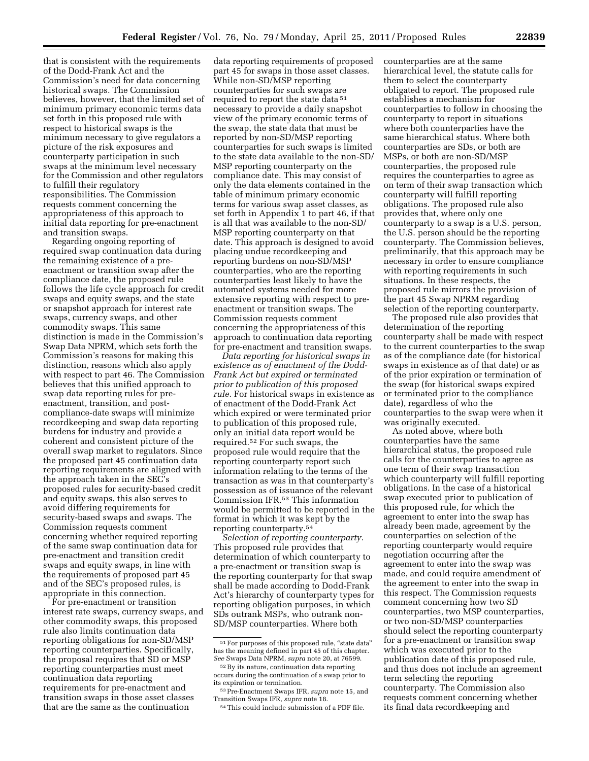that is consistent with the requirements of the Dodd-Frank Act and the Commission's need for data concerning historical swaps. The Commission believes, however, that the limited set of minimum primary economic terms data set forth in this proposed rule with respect to historical swaps is the minimum necessary to give regulators a picture of the risk exposures and counterparty participation in such swaps at the minimum level necessary for the Commission and other regulators to fulfill their regulatory responsibilities. The Commission requests comment concerning the appropriateness of this approach to initial data reporting for pre-enactment and transition swaps.

Regarding ongoing reporting of required swap continuation data during the remaining existence of a preenactment or transition swap after the compliance date, the proposed rule follows the life cycle approach for credit swaps and equity swaps, and the state or snapshot approach for interest rate swaps, currency swaps, and other commodity swaps. This same distinction is made in the Commission's Swap Data NPRM, which sets forth the Commission's reasons for making this distinction, reasons which also apply with respect to part 46. The Commission believes that this unified approach to swap data reporting rules for preenactment, transition, and postcompliance-date swaps will minimize recordkeeping and swap data reporting burdens for industry and provide a coherent and consistent picture of the overall swap market to regulators. Since the proposed part 45 continuation data reporting requirements are aligned with the approach taken in the SEC's proposed rules for security-based credit and equity swaps, this also serves to avoid differing requirements for security-based swaps and swaps. The Commission requests comment concerning whether required reporting of the same swap continuation data for pre-enactment and transition credit swaps and equity swaps, in line with the requirements of proposed part 45 and of the SEC's proposed rules, is appropriate in this connection.

For pre-enactment or transition interest rate swaps, currency swaps, and other commodity swaps, this proposed rule also limits continuation data reporting obligations for non-SD/MSP reporting counterparties. Specifically, the proposal requires that SD or MSP reporting counterparties must meet continuation data reporting requirements for pre-enactment and transition swaps in those asset classes that are the same as the continuation

data reporting requirements of proposed part 45 for swaps in those asset classes. While non-SD/MSP reporting counterparties for such swaps are required to report the state data 51 necessary to provide a daily snapshot view of the primary economic terms of the swap, the state data that must be reported by non-SD/MSP reporting counterparties for such swaps is limited to the state data available to the non-SD/ MSP reporting counterparty on the compliance date. This may consist of only the data elements contained in the table of minimum primary economic terms for various swap asset classes, as set forth in Appendix 1 to part 46, if that is all that was available to the non-SD/ MSP reporting counterparty on that date. This approach is designed to avoid placing undue recordkeeping and reporting burdens on non-SD/MSP counterparties, who are the reporting counterparties least likely to have the automated systems needed for more extensive reporting with respect to preenactment or transition swaps. The Commission requests comment concerning the appropriateness of this approach to continuation data reporting for pre-enactment and transition swaps.

*Data reporting for historical swaps in existence as of enactment of the Dodd-Frank Act but expired or terminated prior to publication of this proposed rule.* For historical swaps in existence as of enactment of the Dodd-Frank Act which expired or were terminated prior to publication of this proposed rule, only an initial data report would be required.52 For such swaps, the proposed rule would require that the reporting counterparty report such information relating to the terms of the transaction as was in that counterparty's possession as of issuance of the relevant Commission IFR.53 This information would be permitted to be reported in the format in which it was kept by the reporting counterparty.54

*Selection of reporting counterparty.*  This proposed rule provides that determination of which counterparty to a pre-enactment or transition swap is the reporting counterparty for that swap shall be made according to Dodd-Frank Act's hierarchy of counterparty types for reporting obligation purposes, in which SDs outrank MSPs, who outrank non-SD/MSP counterparties. Where both

counterparties are at the same hierarchical level, the statute calls for them to select the counterparty obligated to report. The proposed rule establishes a mechanism for counterparties to follow in choosing the counterparty to report in situations where both counterparties have the same hierarchical status. Where both counterparties are SDs, or both are MSPs, or both are non-SD/MSP counterparties, the proposed rule requires the counterparties to agree as on term of their swap transaction which counterparty will fulfill reporting obligations. The proposed rule also provides that, where only one counterparty to a swap is a U.S. person, the U.S. person should be the reporting counterparty. The Commission believes, preliminarily, that this approach may be necessary in order to ensure compliance with reporting requirements in such situations. In these respects, the proposed rule mirrors the provision of the part 45 Swap NPRM regarding selection of the reporting counterparty.

The proposed rule also provides that determination of the reporting counterparty shall be made with respect to the current counterparties to the swap as of the compliance date (for historical swaps in existence as of that date) or as of the prior expiration or termination of the swap (for historical swaps expired or terminated prior to the compliance date), regardless of who the counterparties to the swap were when it was originally executed.

As noted above, where both counterparties have the same hierarchical status, the proposed rule calls for the counterparties to agree as one term of their swap transaction which counterparty will fulfill reporting obligations. In the case of a historical swap executed prior to publication of this proposed rule, for which the agreement to enter into the swap has already been made, agreement by the counterparties on selection of the reporting counterparty would require negotiation occurring after the agreement to enter into the swap was made, and could require amendment of the agreement to enter into the swap in this respect. The Commission requests comment concerning how two SD counterparties, two MSP counterparties, or two non-SD/MSP counterparties should select the reporting counterparty for a pre-enactment or transition swap which was executed prior to the publication date of this proposed rule, and thus does not include an agreement term selecting the reporting counterparty. The Commission also requests comment concerning whether its final data recordkeeping and

 $^{51}\mathrm{For}$  purposes of this proposed rule, "state data" has the meaning defined in part 45 of this chapter. *See* Swaps Data NPRM, *supra* note 20, at 76599.

<sup>52</sup>By its nature, continuation data reporting occurs during the continuation of a swap prior to its expiration or termination.

<sup>53</sup>Pre-Enactment Swaps IFR, *supra* note 15, and Transition Swaps IFR, *supra* note 18.

<sup>54</sup>This could include submission of a PDF file.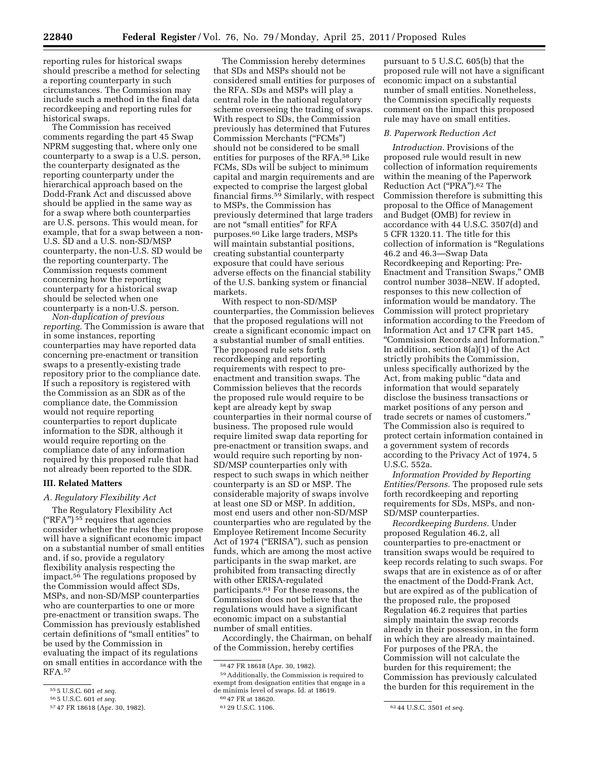reporting rules for historical swaps should prescribe a method for selecting a reporting counterparty in such circumstances. The Commission may include such a method in the final data recordkeeping and reporting rules for historical swaps.

The Commission has received comments regarding the part 45 Swap NPRM suggesting that, where only one counterparty to a swap is a U.S. person, the counterparty designated as the reporting counterparty under the hierarchical approach based on the Dodd-Frank Act and discussed above should be applied in the same way as for a swap where both counterparties are U.S. persons. This would mean, for example, that for a swap between a non-U.S. SD and a U.S. non-SD/MSP counterparty, the non-U.S. SD would be the reporting counterparty. The Commission requests comment concerning how the reporting counterparty for a historical swap should be selected when one counterparty is a non-U.S. person.

*Non-duplication of previous reporting.* The Commission is aware that in some instances, reporting counterparties may have reported data concerning pre-enactment or transition swaps to a presently-existing trade repository prior to the compliance date. If such a repository is registered with the Commission as an SDR as of the compliance date, the Commission would not require reporting counterparties to report duplicate information to the SDR, although it would require reporting on the compliance date of any information required by this proposed rule that had not already been reported to the SDR.

### **III. Related Matters**

### *A. Regulatory Flexibility Act*

The Regulatory Flexibility Act  $("RFA")<sup>55</sup>$  requires that agencies consider whether the rules they propose will have a significant economic impact on a substantial number of small entities and, if so, provide a regulatory flexibility analysis respecting the impact.<sup>56</sup> The regulations proposed by the Commission would affect SDs, MSPs, and non-SD/MSP counterparties who are counterparties to one or more pre-enactment or transition swaps. The Commission has previously established certain definitions of ''small entities'' to be used by the Commission in evaluating the impact of its regulations on small entities in accordance with the RFA.57

The Commission hereby determines that SDs and MSPs should not be considered small entities for purposes of the RFA. SDs and MSPs will play a central role in the national regulatory scheme overseeing the trading of swaps. With respect to SDs, the Commission previously has determined that Futures Commission Merchants (''FCMs'') should not be considered to be small entities for purposes of the RFA.58 Like FCMs, SDs will be subject to minimum capital and margin requirements and are expected to comprise the largest global financial firms.59 Similarly, with respect to MSPs, the Commission has previously determined that large traders are not ''small entities'' for RFA purposes.60 Like large traders, MSPs will maintain substantial positions, creating substantial counterparty exposure that could have serious adverse effects on the financial stability of the U.S. banking system or financial markets.

With respect to non-SD/MSP counterparties, the Commission believes that the proposed regulations will not create a significant economic impact on a substantial number of small entities. The proposed rule sets forth recordkeeping and reporting requirements with respect to preenactment and transition swaps. The Commission believes that the records the proposed rule would require to be kept are already kept by swap counterparties in their normal course of business. The proposed rule would require limited swap data reporting for pre-enactment or transition swaps, and would require such reporting by non-SD/MSP counterparties only with respect to such swaps in which neither counterparty is an SD or MSP. The considerable majority of swaps involve at least one SD or MSP. In addition, most end users and other non-SD/MSP counterparties who are regulated by the Employee Retirement Income Security Act of 1974 ("ERISA"), such as pension funds, which are among the most active participants in the swap market, are prohibited from transacting directly with other ERISA-regulated participants.61 For these reasons, the Commission does not believe that the regulations would have a significant economic impact on a substantial number of small entities.

Accordingly, the Chairman, on behalf of the Commission, hereby certifies

59Additionally, the Commission is required to exempt from designation entities that engage in a de minimis level of swaps. Id. at 18619.

pursuant to 5 U.S.C. 605(b) that the proposed rule will not have a significant economic impact on a substantial number of small entities. Nonetheless, the Commission specifically requests comment on the impact this proposed rule may have on small entities.

### *B. Paperwork Reduction Act*

*Introduction.* Provisions of the proposed rule would result in new collection of information requirements within the meaning of the Paperwork Reduction Act (''PRA'').62 The Commission therefore is submitting this proposal to the Office of Management and Budget (OMB) for review in accordance with 44 U.S.C. 3507(d) and 5 CFR 1320.11. The title for this collection of information is ''Regulations 46.2 and 46.3—Swap Data Recordkeeping and Reporting: Pre-Enactment and Transition Swaps,'' OMB control number 3038–NEW. If adopted, responses to this new collection of information would be mandatory. The Commission will protect proprietary information according to the Freedom of Information Act and 17 CFR part 145, ''Commission Records and Information.'' In addition, section 8(a)(1) of the Act strictly prohibits the Commission, unless specifically authorized by the Act, from making public "data and information that would separately disclose the business transactions or market positions of any person and trade secrets or names of customers.'' The Commission also is required to protect certain information contained in a government system of records according to the Privacy Act of 1974, 5 U.S.C. 552a.

*Information Provided by Reporting Entities/Persons.* The proposed rule sets forth recordkeeping and reporting requirements for SDs, MSPs, and non-SD/MSP counterparties.

*Recordkeeping Burdens.* Under proposed Regulation 46.2, all counterparties to pre-enactment or transition swaps would be required to keep records relating to such swaps. For swaps that are in existence as of or after the enactment of the Dodd-Frank Act, but are expired as of the publication of the proposed rule, the proposed Regulation 46.2 requires that parties simply maintain the swap records already in their possession, in the form in which they are already maintained. For purposes of the PRA, the Commission will not calculate the burden for this requirement; the Commission has previously calculated the burden for this requirement in the

<sup>55</sup> 5 U.S.C. 601 *et seq.* 

<sup>56</sup> 5 U.S.C. 601 *et seq.* 

<sup>57</sup> 47 FR 18618 (Apr. 30, 1982).

<sup>58</sup> 47 FR 18618 (Apr. 30, 1982).

<sup>60 47</sup> FR at 18620.<br>61 29 U.S.C. 1106.

<sup>62 44</sup> U.S.C. 3501 *et seq.*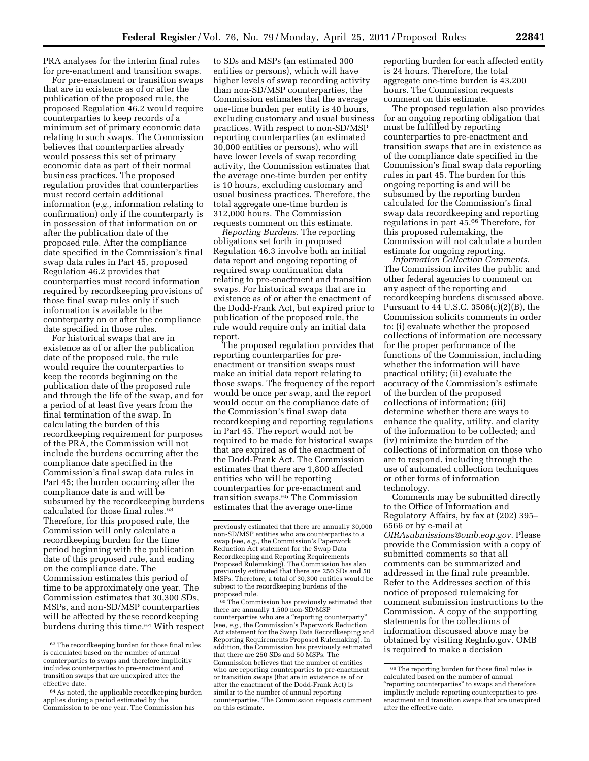PRA analyses for the interim final rules for pre-enactment and transition swaps.

For pre-enactment or transition swaps that are in existence as of or after the publication of the proposed rule, the proposed Regulation 46.2 would require counterparties to keep records of a minimum set of primary economic data relating to such swaps. The Commission believes that counterparties already would possess this set of primary economic data as part of their normal business practices. The proposed regulation provides that counterparties must record certain additional information (*e.g.,* information relating to confirmation) only if the counterparty is in possession of that information on or after the publication date of the proposed rule. After the compliance date specified in the Commission's final swap data rules in Part 45, proposed Regulation 46.2 provides that counterparties must record information required by recordkeeping provisions of those final swap rules only if such information is available to the counterparty on or after the compliance date specified in those rules.

For historical swaps that are in existence as of or after the publication date of the proposed rule, the rule would require the counterparties to keep the records beginning on the publication date of the proposed rule and through the life of the swap, and for a period of at least five years from the final termination of the swap. In calculating the burden of this recordkeeping requirement for purposes of the PRA, the Commission will not include the burdens occurring after the compliance date specified in the Commission's final swap data rules in Part 45; the burden occurring after the compliance date is and will be subsumed by the recordkeeping burdens calculated for those final rules.<sup>63</sup> Therefore, for this proposed rule, the Commission will only calculate a recordkeeping burden for the time period beginning with the publication date of this proposed rule, and ending on the compliance date. The Commission estimates this period of time to be approximately one year. The Commission estimates that 30,300 SDs, MSPs, and non-SD/MSP counterparties will be affected by these recordkeeping burdens during this time.64 With respect to SDs and MSPs (an estimated 300 entities or persons), which will have higher levels of swap recording activity than non-SD/MSP counterparties, the Commission estimates that the average one-time burden per entity is 40 hours, excluding customary and usual business practices. With respect to non-SD/MSP reporting counterparties (an estimated 30,000 entities or persons), who will have lower levels of swap recording activity, the Commission estimates that the average one-time burden per entity is 10 hours, excluding customary and usual business practices. Therefore, the total aggregate one-time burden is 312,000 hours. The Commission requests comment on this estimate.

*Reporting Burdens.* The reporting obligations set forth in proposed Regulation 46.3 involve both an initial data report and ongoing reporting of required swap continuation data relating to pre-enactment and transition swaps. For historical swaps that are in existence as of or after the enactment of the Dodd-Frank Act, but expired prior to publication of the proposed rule, the rule would require only an initial data report.

The proposed regulation provides that reporting counterparties for preenactment or transition swaps must make an initial data report relating to those swaps. The frequency of the report would be once per swap, and the report would occur on the compliance date of the Commission's final swap data recordkeeping and reporting regulations in Part 45. The report would not be required to be made for historical swaps that are expired as of the enactment of the Dodd-Frank Act. The Commission estimates that there are 1,800 affected entities who will be reporting counterparties for pre-enactment and transition swaps.65 The Commission estimates that the average one-time

65The Commission has previously estimated that there are annually 1,500 non-SD/MSP counterparties who are a ''reporting counterparty'' (see, *e.g.,* the Commission's Paperwork Reduction Act statement for the Swap Data Recordkeeping and Reporting Requirements Proposed Rulemaking). In addition, the Commission has previously estimated that there are 250 SDs and 50 MSPs. The Commission believes that the number of entities who are reporting counterparties to pre-enactment or transition swaps (that are in existence as of or after the enactment of the Dodd-Frank Act) is similar to the number of annual reporting counterparties. The Commission requests comment on this estimate.

reporting burden for each affected entity is 24 hours. Therefore, the total aggregate one-time burden is 43,200 hours. The Commission requests comment on this estimate.

The proposed regulation also provides for an ongoing reporting obligation that must be fulfilled by reporting counterparties to pre-enactment and transition swaps that are in existence as of the compliance date specified in the Commission's final swap data reporting rules in part 45. The burden for this ongoing reporting is and will be subsumed by the reporting burden calculated for the Commission's final swap data recordkeeping and reporting regulations in part 45.66 Therefore, for this proposed rulemaking, the Commission will not calculate a burden estimate for ongoing reporting.

*Information Collection Comments.*  The Commission invites the public and other federal agencies to comment on any aspect of the reporting and recordkeeping burdens discussed above. Pursuant to 44 U.S.C. 3506(c)(2)(B), the Commission solicits comments in order to: (i) evaluate whether the proposed collections of information are necessary for the proper performance of the functions of the Commission, including whether the information will have practical utility; (ii) evaluate the accuracy of the Commission's estimate of the burden of the proposed collections of information; (iii) determine whether there are ways to enhance the quality, utility, and clarity of the information to be collected; and (iv) minimize the burden of the collections of information on those who are to respond, including through the use of automated collection techniques or other forms of information technology.

Comments may be submitted directly to the Office of Information and Regulatory Affairs, by fax at (202) 395– 6566 or by e-mail at *[OIRAsubmissions@omb.eop.gov.](mailto:OIRAsubmissions@omb.eop.gov)* Please provide the Commission with a copy of submitted comments so that all comments can be summarized and addressed in the final rule preamble. Refer to the Addresses section of this notice of proposed rulemaking for comment submission instructions to the Commission. A copy of the supporting statements for the collections of information discussed above may be obtained by visiting RegInfo.gov. OMB is required to make a decision

 $^{63}\!$  The record<br>keeping burden for those final rules is calculated based on the number of annual counterparties to swaps and therefore implicitly includes counterparties to pre-enactment and transition swaps that are unexpired after the effective date.

<sup>64</sup>As noted, the applicable recordkeeping burden applies during a period estimated by the Commission to be one year. The Commission has

previously estimated that there are annually 30,000 non-SD/MSP entities who are counterparties to a swap (see, *e.g.,* the Commission's Paperwork Reduction Act statement for the Swap Data Recordkeeping and Reporting Requirements Proposed Rulemaking). The Commission has also previously estimated that there are 250 SDs and 50 MSPs. Therefore, a total of 30,300 entities would be subject to the recordkeeping burdens of the proposed rule.

<sup>66</sup>The reporting burden for those final rules is calculated based on the number of annual "reporting counterparties" to swaps and therefore implicitly include reporting counterparties to preenactment and transition swaps that are unexpired after the effective date.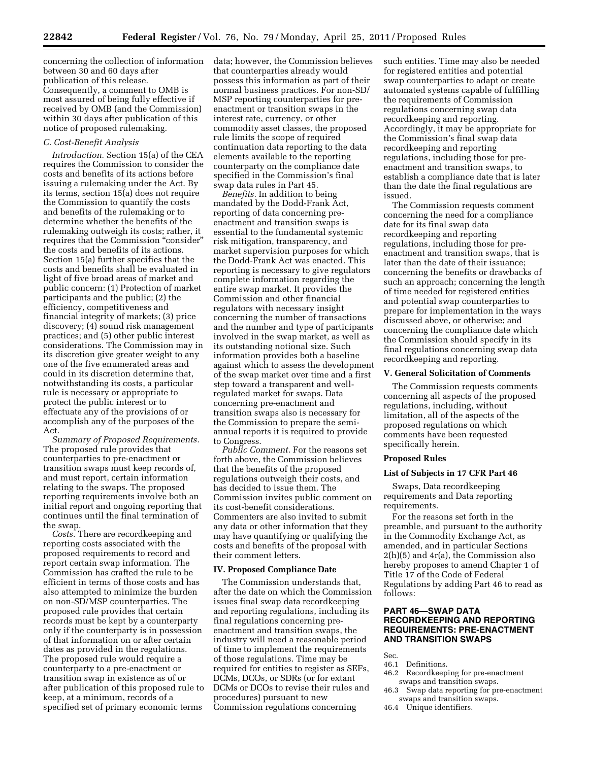concerning the collection of information between 30 and 60 days after publication of this release. Consequently, a comment to OMB is most assured of being fully effective if received by OMB (and the Commission) within 30 days after publication of this notice of proposed rulemaking.

## *C. Cost-Benefit Analysis*

*Introduction.* Section 15(a) of the CEA requires the Commission to consider the costs and benefits of its actions before issuing a rulemaking under the Act. By its terms, section 15(a) does not require the Commission to quantify the costs and benefits of the rulemaking or to determine whether the benefits of the rulemaking outweigh its costs; rather, it requires that the Commission "consider" the costs and benefits of its actions. Section 15(a) further specifies that the costs and benefits shall be evaluated in light of five broad areas of market and public concern: (1) Protection of market participants and the public; (2) the efficiency, competitiveness and financial integrity of markets; (3) price discovery; (4) sound risk management practices; and (5) other public interest considerations. The Commission may in its discretion give greater weight to any one of the five enumerated areas and could in its discretion determine that, notwithstanding its costs, a particular rule is necessary or appropriate to protect the public interest or to effectuate any of the provisions of or accomplish any of the purposes of the Act.

*Summary of Proposed Requirements.*  The proposed rule provides that counterparties to pre-enactment or transition swaps must keep records of, and must report, certain information relating to the swaps. The proposed reporting requirements involve both an initial report and ongoing reporting that continues until the final termination of the swap.

*Costs.* There are recordkeeping and reporting costs associated with the proposed requirements to record and report certain swap information. The Commission has crafted the rule to be efficient in terms of those costs and has also attempted to minimize the burden on non-SD/MSP counterparties. The proposed rule provides that certain records must be kept by a counterparty only if the counterparty is in possession of that information on or after certain dates as provided in the regulations. The proposed rule would require a counterparty to a pre-enactment or transition swap in existence as of or after publication of this proposed rule to keep, at a minimum, records of a specified set of primary economic terms

data; however, the Commission believes that counterparties already would possess this information as part of their normal business practices. For non-SD/ MSP reporting counterparties for preenactment or transition swaps in the interest rate, currency, or other commodity asset classes, the proposed rule limits the scope of required continuation data reporting to the data elements available to the reporting counterparty on the compliance date specified in the Commission's final swap data rules in Part 45.

*Benefits.* In addition to being mandated by the Dodd-Frank Act, reporting of data concerning preenactment and transition swaps is essential to the fundamental systemic risk mitigation, transparency, and market supervision purposes for which the Dodd-Frank Act was enacted. This reporting is necessary to give regulators complete information regarding the entire swap market. It provides the Commission and other financial regulators with necessary insight concerning the number of transactions and the number and type of participants involved in the swap market, as well as its outstanding notional size. Such information provides both a baseline against which to assess the development of the swap market over time and a first step toward a transparent and wellregulated market for swaps. Data concerning pre-enactment and transition swaps also is necessary for the Commission to prepare the semiannual reports it is required to provide to Congress.

*Public Comment.* For the reasons set forth above, the Commission believes that the benefits of the proposed regulations outweigh their costs, and has decided to issue them. The Commission invites public comment on its cost-benefit considerations. Commenters are also invited to submit any data or other information that they may have quantifying or qualifying the costs and benefits of the proposal with their comment letters.

### **IV. Proposed Compliance Date**

The Commission understands that, after the date on which the Commission issues final swap data recordkeeping and reporting regulations, including its final regulations concerning preenactment and transition swaps, the industry will need a reasonable period of time to implement the requirements of those regulations. Time may be required for entities to register as SEFs, DCMs, DCOs, or SDRs (or for extant DCMs or DCOs to revise their rules and procedures) pursuant to new Commission regulations concerning

such entities. Time may also be needed for registered entities and potential swap counterparties to adapt or create automated systems capable of fulfilling the requirements of Commission regulations concerning swap data recordkeeping and reporting. Accordingly, it may be appropriate for the Commission's final swap data recordkeeping and reporting regulations, including those for preenactment and transition swaps, to establish a compliance date that is later than the date the final regulations are issued.

The Commission requests comment concerning the need for a compliance date for its final swap data recordkeeping and reporting regulations, including those for preenactment and transition swaps, that is later than the date of their issuance; concerning the benefits or drawbacks of such an approach; concerning the length of time needed for registered entities and potential swap counterparties to prepare for implementation in the ways discussed above, or otherwise; and concerning the compliance date which the Commission should specify in its final regulations concerning swap data recordkeeping and reporting.

# **V. General Solicitation of Comments**

The Commission requests comments concerning all aspects of the proposed regulations, including, without limitation, all of the aspects of the proposed regulations on which comments have been requested specifically herein.

### **Proposed Rules**

### **List of Subjects in 17 CFR Part 46**

Swaps, Data recordkeeping requirements and Data reporting requirements.

For the reasons set forth in the preamble, and pursuant to the authority in the Commodity Exchange Act, as amended, and in particular Sections 2(h)(5) and 4r(a), the Commission also hereby proposes to amend Chapter 1 of Title 17 of the Code of Federal Regulations by adding Part 46 to read as follows:

# **PART 46—SWAP DATA RECORDKEEPING AND REPORTING REQUIREMENTS: PRE-ENACTMENT AND TRANSITION SWAPS**

Sec.<br>46.1

- Definitions.
- 46.2 Recordkeeping for pre-enactment swaps and transition swaps.
- 46.3 Swap data reporting for pre-enactment swaps and transition swaps.
- 46.4 Unique identifiers.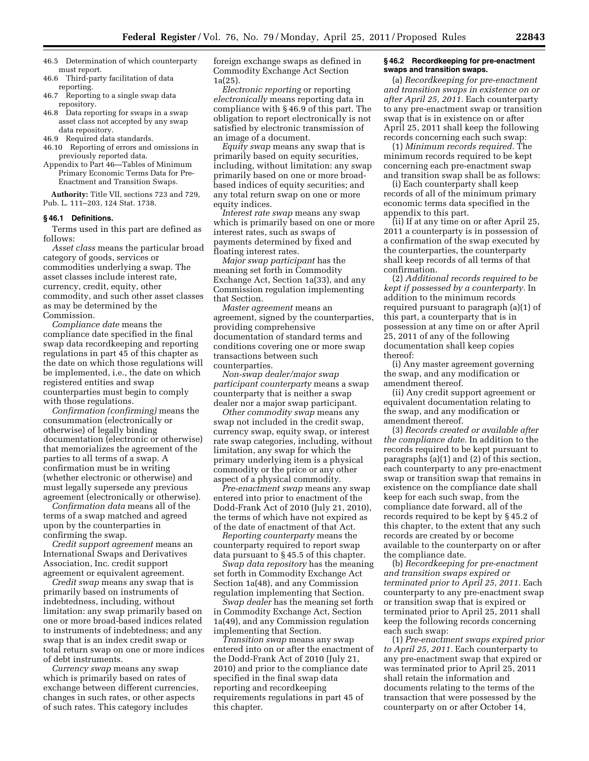- 46.5 Determination of which counterparty must report.
- 46.6 Third-party facilitation of data reporting.
- 46.7 Reporting to a single swap data repository.
- 46.8 Data reporting for swaps in a swap asset class not accepted by any swap data repository.
- 46.9 Required data standards.
- 46.10 Reporting of errors and omissions in previously reported data.
- Appendix to Part 46—Tables of Minimum Primary Economic Terms Data for Pre-Enactment and Transition Swaps.

**Authority:** Title VII, sections 723 and 729, Pub. L. 111–203, 124 Stat. 1738.

### **§ 46.1 Definitions.**

Terms used in this part are defined as follows:

*Asset class* means the particular broad category of goods, services or commodities underlying a swap. The asset classes include interest rate, currency, credit, equity, other commodity, and such other asset classes as may be determined by the Commission.

*Compliance date* means the compliance date specified in the final swap data recordkeeping and reporting regulations in part 45 of this chapter as the date on which those regulations will be implemented, i.e., the date on which registered entities and swap counterparties must begin to comply with those regulations.

*Confirmation (confirming)* means the consummation (electronically or otherwise) of legally binding documentation (electronic or otherwise) that memorializes the agreement of the parties to all terms of a swap. A confirmation must be in writing (whether electronic or otherwise) and must legally supersede any previous agreement (electronically or otherwise).

*Confirmation data* means all of the terms of a swap matched and agreed upon by the counterparties in confirming the swap.

*Credit support agreement* means an International Swaps and Derivatives Association, Inc. credit support agreement or equivalent agreement.

*Credit swap* means any swap that is primarily based on instruments of indebtedness, including, without limitation: any swap primarily based on one or more broad-based indices related to instruments of indebtedness; and any swap that is an index credit swap or total return swap on one or more indices of debt instruments.

*Currency swap* means any swap which is primarily based on rates of exchange between different currencies, changes in such rates, or other aspects of such rates. This category includes

foreign exchange swaps as defined in Commodity Exchange Act Section 1a(25).

*Electronic reporting* or reporting *electronically* means reporting data in compliance with § 46.9 of this part. The obligation to report electronically is not satisfied by electronic transmission of an image of a document.

*Equity swap* means any swap that is primarily based on equity securities, including, without limitation: any swap primarily based on one or more broadbased indices of equity securities; and any total return swap on one or more equity indices.

*Interest rate swap* means any swap which is primarily based on one or more interest rates, such as swaps of payments determined by fixed and floating interest rates.

*Major swap participant* has the meaning set forth in Commodity Exchange Act, Section 1a(33), and any Commission regulation implementing that Section.

*Master agreement* means an agreement, signed by the counterparties, providing comprehensive documentation of standard terms and conditions covering one or more swap transactions between such counterparties.

*Non-swap dealer/major swap participant counterparty* means a swap counterparty that is neither a swap dealer nor a major swap participant.

*Other commodity swap* means any swap not included in the credit swap, currency swap, equity swap, or interest rate swap categories, including, without limitation, any swap for which the primary underlying item is a physical commodity or the price or any other aspect of a physical commodity.

*Pre-enactment swap* means any swap entered into prior to enactment of the Dodd-Frank Act of 2010 (July 21, 2010), the terms of which have not expired as of the date of enactment of that Act.

*Reporting counterparty* means the counterparty required to report swap data pursuant to § 45.5 of this chapter.

*Swap data repository* has the meaning set forth in Commodity Exchange Act Section 1a(48), and any Commission regulation implementing that Section.

*Swap dealer* has the meaning set forth in Commodity Exchange Act, Section 1a(49), and any Commission regulation implementing that Section.

*Transition swap* means any swap entered into on or after the enactment of the Dodd-Frank Act of 2010 (July 21, 2010) and prior to the compliance date specified in the final swap data reporting and recordkeeping requirements regulations in part 45 of this chapter.

### **§ 46.2 Recordkeeping for pre-enactment swaps and transition swaps.**

(a) *Recordkeeping for pre-enactment and transition swaps in existence on or after April 25, 2011.* Each counterparty to any pre-enactment swap or transition swap that is in existence on or after April 25, 2011 shall keep the following records concerning each such swap:

(1) *Minimum records required.* The minimum records required to be kept concerning each pre-enactment swap and transition swap shall be as follows:

(i) Each counterparty shall keep records of all of the minimum primary economic terms data specified in the appendix to this part.

(ii) If at any time on or after April 25, 2011 a counterparty is in possession of a confirmation of the swap executed by the counterparties, the counterparty shall keep records of all terms of that confirmation.

(2) *Additional records required to be kept if possessed by a counterparty.* In addition to the minimum records required pursuant to paragraph (a)(1) of this part, a counterparty that is in possession at any time on or after April 25, 2011 of any of the following documentation shall keep copies thereof:

(i) Any master agreement governing the swap, and any modification or amendment thereof.

(ii) Any credit support agreement or equivalent documentation relating to the swap, and any modification or amendment thereof.

(3) *Records created or available after the compliance date.* In addition to the records required to be kept pursuant to paragraphs (a)(1) and (2) of this section, each counterparty to any pre-enactment swap or transition swap that remains in existence on the compliance date shall keep for each such swap, from the compliance date forward, all of the records required to be kept by § 45.2 of this chapter, to the extent that any such records are created by or become available to the counterparty on or after the compliance date.

(b) *Recordkeeping for pre-enactment and transition swaps expired or terminated prior to April 25, 2011.* Each counterparty to any pre-enactment swap or transition swap that is expired or terminated prior to April 25, 2011 shall keep the following records concerning each such swap:

(1) *Pre-enactment swaps expired prior to April 25, 2011.* Each counterparty to any pre-enactment swap that expired or was terminated prior to April 25, 2011 shall retain the information and documents relating to the terms of the transaction that were possessed by the counterparty on or after October 14,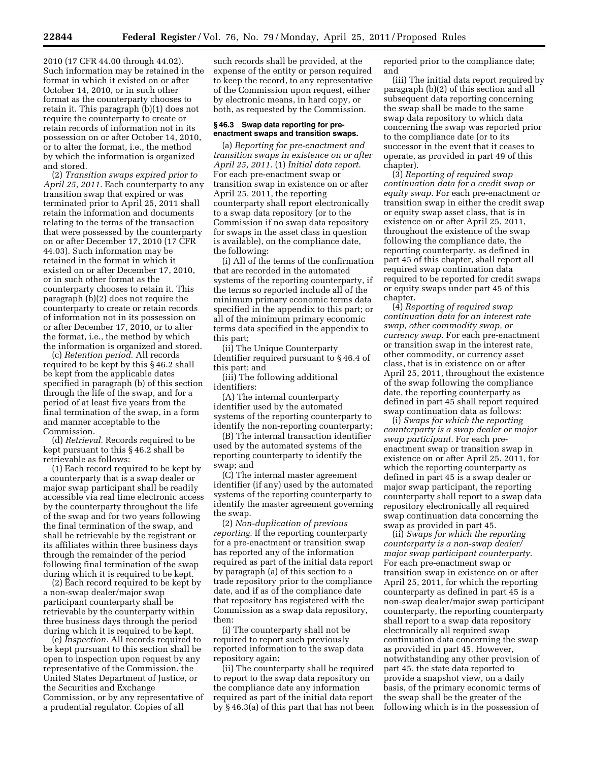2010 (17 CFR 44.00 through 44.02). Such information may be retained in the format in which it existed on or after October 14, 2010, or in such other format as the counterparty chooses to retain it. This paragraph (b)(1) does not require the counterparty to create or retain records of information not in its possession on or after October 14, 2010, or to alter the format, i.e., the method by which the information is organized and stored.

(2) *Transition swaps expired prior to April 25, 2011.* Each counterparty to any transition swap that expired or was terminated prior to April 25, 2011 shall retain the information and documents relating to the terms of the transaction that were possessed by the counterparty on or after December 17, 2010 (17 CFR 44.03). Such information may be retained in the format in which it existed on or after December 17, 2010, or in such other format as the counterparty chooses to retain it. This paragraph (b)(2) does not require the counterparty to create or retain records of information not in its possession on or after December 17, 2010, or to alter the format, i.e., the method by which the information is organized and stored.

(c) *Retention period.* All records required to be kept by this § 46.2 shall be kept from the applicable dates specified in paragraph (b) of this section through the life of the swap, and for a period of at least five years from the final termination of the swap, in a form and manner acceptable to the Commission.

(d) *Retrieval.* Records required to be kept pursuant to this § 46.2 shall be retrievable as follows:

(1) Each record required to be kept by a counterparty that is a swap dealer or major swap participant shall be readily accessible via real time electronic access by the counterparty throughout the life of the swap and for two years following the final termination of the swap, and shall be retrievable by the registrant or its affiliates within three business days through the remainder of the period following final termination of the swap during which it is required to be kept.

(2) Each record required to be kept by a non-swap dealer/major swap participant counterparty shall be retrievable by the counterparty within three business days through the period during which it is required to be kept.

(e) *Inspection.* All records required to be kept pursuant to this section shall be open to inspection upon request by any representative of the Commission, the United States Department of Justice, or the Securities and Exchange Commission, or by any representative of a prudential regulator. Copies of all

such records shall be provided, at the expense of the entity or person required to keep the record, to any representative of the Commission upon request, either by electronic means, in hard copy, or both, as requested by the Commission.

# **§ 46.3 Swap data reporting for preenactment swaps and transition swaps.**

(a) *Reporting for pre-enactment and transition swaps in existence on or after April 25, 2011.* (1) *Initial data report.*  For each pre-enactment swap or transition swap in existence on or after April 25, 2011, the reporting counterparty shall report electronically to a swap data repository (or to the Commission if no swap data repository for swaps in the asset class in question is available), on the compliance date, the following:

(i) All of the terms of the confirmation that are recorded in the automated systems of the reporting counterparty, if the terms so reported include all of the minimum primary economic terms data specified in the appendix to this part; or all of the minimum primary economic terms data specified in the appendix to this part;

(ii) The Unique Counterparty Identifier required pursuant to § 46.4 of this part; and

(iii) The following additional identifiers:

(A) The internal counterparty identifier used by the automated systems of the reporting counterparty to identify the non-reporting counterparty;

(B) The internal transaction identifier used by the automated systems of the reporting counterparty to identify the swap; and

(C) The internal master agreement identifier (if any) used by the automated systems of the reporting counterparty to identify the master agreement governing the swap.

(2) *Non-duplication of previous reporting.* If the reporting counterparty for a pre-enactment or transition swap has reported any of the information required as part of the initial data report by paragraph (a) of this section to a trade repository prior to the compliance date, and if as of the compliance date that repository has registered with the Commission as a swap data repository, then:

(i) The counterparty shall not be required to report such previously reported information to the swap data repository again;

(ii) The counterparty shall be required to report to the swap data repository on the compliance date any information required as part of the initial data report by § 46.3(a) of this part that has not been reported prior to the compliance date; and

(iii) The initial data report required by paragraph (b)(2) of this section and all subsequent data reporting concerning the swap shall be made to the same swap data repository to which data concerning the swap was reported prior to the compliance date (or to its successor in the event that it ceases to operate, as provided in part 49 of this chapter).

(3) *Reporting of required swap continuation data for a credit swap or equity swap.* For each pre-enactment or transition swap in either the credit swap or equity swap asset class, that is in existence on or after April 25, 2011, throughout the existence of the swap following the compliance date, the reporting counterparty, as defined in part 45 of this chapter, shall report all required swap continuation data required to be reported for credit swaps or equity swaps under part 45 of this chapter.

(4) *Reporting of required swap continuation data for an interest rate swap, other commodity swap, or currency swap.* For each pre-enactment or transition swap in the interest rate, other commodity, or currency asset class, that is in existence on or after April 25, 2011, throughout the existence of the swap following the compliance date, the reporting counterparty as defined in part 45 shall report required swap continuation data as follows:

(i) *Swaps for which the reporting counterparty is a swap dealer or major swap participant.* For each preenactment swap or transition swap in existence on or after April 25, 2011, for which the reporting counterparty as defined in part 45 is a swap dealer or major swap participant, the reporting counterparty shall report to a swap data repository electronically all required swap continuation data concerning the swap as provided in part 45.

(ii) *Swaps for which the reporting counterparty is a non-swap dealer/ major swap participant counterparty.*  For each pre-enactment swap or transition swap in existence on or after April 25, 2011, for which the reporting counterparty as defined in part 45 is a non-swap dealer/major swap participant counterparty, the reporting counterparty shall report to a swap data repository electronically all required swap continuation data concerning the swap as provided in part 45. However, notwithstanding any other provision of part 45, the state data reported to provide a snapshot view, on a daily basis, of the primary economic terms of the swap shall be the greater of the following which is in the possession of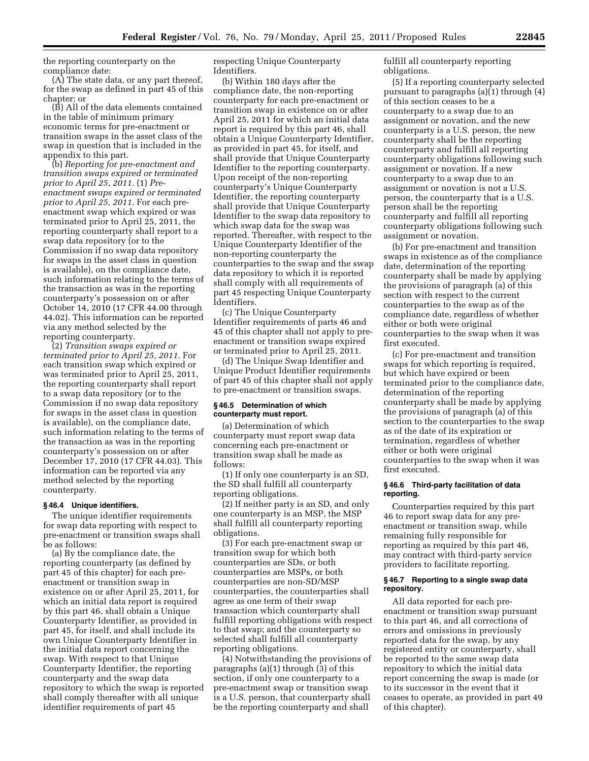the reporting counterparty on the compliance date:

(A) The state data, or any part thereof, for the swap as defined in part 45 of this chapter; or

(B) All of the data elements contained in the table of minimum primary economic terms for pre-enactment or transition swaps in the asset class of the swap in question that is included in the appendix to this part.

(b) *Reporting for pre-enactment and transition swaps expired or terminated prior to April 25, 2011.* (1) *Preenactment swaps expired or terminated prior to April 25, 2011.* For each preenactment swap which expired or was terminated prior to April 25, 2011, the reporting counterparty shall report to a swap data repository (or to the Commission if no swap data repository for swaps in the asset class in question is available), on the compliance date, such information relating to the terms of the transaction as was in the reporting counterparty's possession on or after October 14, 2010 (17 CFR 44.00 through 44.02). This information can be reported via any method selected by the reporting counterparty.

(2) *Transition swaps expired or terminated prior to April 25, 2011.* For each transition swap which expired or was terminated prior to April 25, 2011, the reporting counterparty shall report to a swap data repository (or to the Commission if no swap data repository for swaps in the asset class in question is available), on the compliance date, such information relating to the terms of the transaction as was in the reporting counterparty's possession on or after December 17, 2010 (17 CFR 44.03). This information can be reported via any method selected by the reporting counterparty.

# **§ 46.4 Unique identifiers.**

The unique identifier requirements for swap data reporting with respect to pre-enactment or transition swaps shall be as follows:

(a) By the compliance date, the reporting counterparty (as defined by part 45 of this chapter) for each preenactment or transition swap in existence on or after April 25, 2011, for which an initial data report is required by this part 46, shall obtain a Unique Counterparty Identifier, as provided in part 45, for itself, and shall include its own Unique Counterparty Identifier in the initial data report concerning the swap. With respect to that Unique Counterparty Identifier, the reporting counterparty and the swap data repository to which the swap is reported shall comply thereafter with all unique identifier requirements of part 45

respecting Unique Counterparty Identifiers.

(b) Within 180 days after the compliance date, the non-reporting counterparty for each pre-enactment or transition swap in existence on or after April 25, 2011 for which an initial data report is required by this part 46, shall obtain a Unique Counterparty Identifier, as provided in part 45, for itself, and shall provide that Unique Counterparty Identifier to the reporting counterparty. Upon receipt of the non-reporting counterparty's Unique Counterparty Identifier, the reporting counterparty shall provide that Unique Counterparty Identifier to the swap data repository to which swap data for the swap was reported. Thereafter, with respect to the Unique Counterparty Identifier of the non-reporting counterparty the counterparties to the swap and the swap data repository to which it is reported shall comply with all requirements of part 45 respecting Unique Counterparty Identifiers.

(c) The Unique Counterparty Identifier requirements of parts 46 and 45 of this chapter shall not apply to preenactment or transition swaps expired or terminated prior to April 25, 2011.

(d) The Unique Swap Identifier and Unique Product Identifier requirements of part 45 of this chapter shall not apply to pre-enactment or transition swaps.

## **§ 46.5 Determination of which counterparty must report.**

(a) Determination of which counterparty must report swap data concerning each pre-enactment or transition swap shall be made as follows:

(1) If only one counterparty is an SD, the SD shall fulfill all counterparty reporting obligations.

(2) If neither party is an SD, and only one counterparty is an MSP, the MSP shall fulfill all counterparty reporting obligations.

(3) For each pre-enactment swap or transition swap for which both counterparties are SDs, or both counterparties are MSPs, or both counterparties are non-SD/MSP counterparties, the counterparties shall agree as one term of their swap transaction which counterparty shall fulfill reporting obligations with respect to that swap; and the counterparty so selected shall fulfill all counterparty reporting obligations.

(4) Notwithstanding the provisions of paragraphs (a)(1) through (3) of this section, if only one counterparty to a pre-enactment swap or transition swap is a U.S. person, that counterparty shall be the reporting counterparty and shall

fulfill all counterparty reporting obligations.

(5) If a reporting counterparty selected pursuant to paragraphs (a)(1) through (4) of this section ceases to be a counterparty to a swap due to an assignment or novation, and the new counterparty is a U.S. person, the new counterparty shall be the reporting counterparty and fulfill all reporting counterparty obligations following such assignment or novation. If a new counterparty to a swap due to an assignment or novation is not a U.S. person, the counterparty that is a U.S. person shall be the reporting counterparty and fulfill all reporting counterparty obligations following such assignment or novation.

(b) For pre-enactment and transition swaps in existence as of the compliance date, determination of the reporting counterparty shall be made by applying the provisions of paragraph (a) of this section with respect to the current counterparties to the swap as of the compliance date, regardless of whether either or both were original counterparties to the swap when it was first executed.

(c) For pre-enactment and transition swaps for which reporting is required, but which have expired or been terminated prior to the compliance date, determination of the reporting counterparty shall be made by applying the provisions of paragraph (a) of this section to the counterparties to the swap as of the date of its expiration or termination, regardless of whether either or both were original counterparties to the swap when it was first executed.

## **§ 46.6 Third-party facilitation of data reporting.**

Counterparties required by this part 46 to report swap data for any preenactment or transition swap, while remaining fully responsible for reporting as required by this part 46, may contract with third-party service providers to facilitate reporting.

### **§ 46.7 Reporting to a single swap data repository.**

All data reported for each preenactment or transition swap pursuant to this part 46, and all corrections of errors and omissions in previously reported data for the swap, by any registered entity or counterparty, shall be reported to the same swap data repository to which the initial data report concerning the swap is made (or to its successor in the event that it ceases to operate, as provided in part 49 of this chapter).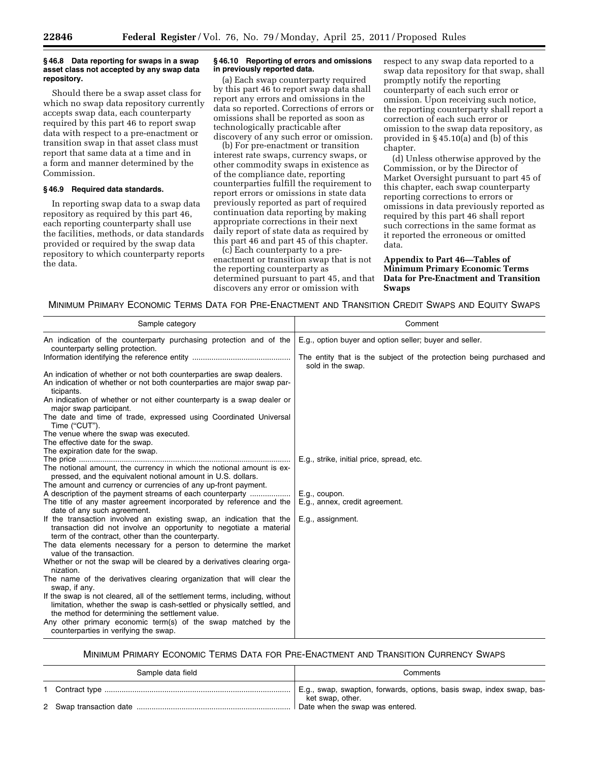## **§ 46.8 Data reporting for swaps in a swap asset class not accepted by any swap data repository.**

Should there be a swap asset class for which no swap data repository currently accepts swap data, each counterparty required by this part 46 to report swap data with respect to a pre-enactment or transition swap in that asset class must report that same data at a time and in a form and manner determined by the Commission.

### **§ 46.9 Required data standards.**

In reporting swap data to a swap data repository as required by this part 46, each reporting counterparty shall use the facilities, methods, or data standards provided or required by the swap data repository to which counterparty reports the data.

### **§ 46.10 Reporting of errors and omissions in previously reported data.**

(a) Each swap counterparty required by this part 46 to report swap data shall report any errors and omissions in the data so reported. Corrections of errors or omissions shall be reported as soon as technologically practicable after discovery of any such error or omission.

(b) For pre-enactment or transition interest rate swaps, currency swaps, or other commodity swaps in existence as of the compliance date, reporting counterparties fulfill the requirement to report errors or omissions in state data previously reported as part of required continuation data reporting by making appropriate corrections in their next daily report of state data as required by this part 46 and part 45 of this chapter.

(c) Each counterparty to a preenactment or transition swap that is not the reporting counterparty as determined pursuant to part 45, and that discovers any error or omission with

respect to any swap data reported to a swap data repository for that swap, shall promptly notify the reporting counterparty of each such error or omission. Upon receiving such notice, the reporting counterparty shall report a correction of each such error or omission to the swap data repository, as provided in § 45.10(a) and (b) of this chapter.

(d) Unless otherwise approved by the Commission, or by the Director of Market Oversight pursuant to part 45 of this chapter, each swap counterparty reporting corrections to errors or omissions in data previously reported as required by this part 46 shall report such corrections in the same format as it reported the erroneous or omitted data.

**Appendix to Part 46—Tables of Minimum Primary Economic Terms Data for Pre-Enactment and Transition Swaps** 

MINIMUM PRIMARY ECONOMIC TERMS DATA FOR PRE-ENACTMENT AND TRANSITION CREDIT SWAPS AND EQUITY SWAPS

| Sample category                                                                                                                                                                                            | Comment                                                                                   |
|------------------------------------------------------------------------------------------------------------------------------------------------------------------------------------------------------------|-------------------------------------------------------------------------------------------|
| An indication of the counterparty purchasing protection and of the<br>counterparty selling protection.                                                                                                     | E.g., option buyer and option seller; buyer and seller.                                   |
|                                                                                                                                                                                                            | The entity that is the subject of the protection being purchased and<br>sold in the swap. |
| An indication of whether or not both counterparties are swap dealers.<br>An indication of whether or not both counterparties are major swap par-<br>ticipants.                                             |                                                                                           |
| An indication of whether or not either counterparty is a swap dealer or<br>major swap participant.                                                                                                         |                                                                                           |
| The date and time of trade, expressed using Coordinated Universal<br>Time ("CUT").                                                                                                                         |                                                                                           |
| The venue where the swap was executed.<br>The effective date for the swap.                                                                                                                                 |                                                                                           |
| The expiration date for the swap.                                                                                                                                                                          |                                                                                           |
| The notional amount, the currency in which the notional amount is ex-<br>pressed, and the equivalent notional amount in U.S. dollars.                                                                      | E.g., strike, initial price, spread, etc.                                                 |
| The amount and currency or currencies of any up-front payment.                                                                                                                                             |                                                                                           |
| A description of the payment streams of each counterparty                                                                                                                                                  | E.g., coupon.                                                                             |
| The title of any master agreement incorporated by reference and the                                                                                                                                        | E.g., annex, credit agreement.                                                            |
| date of any such agreement.                                                                                                                                                                                |                                                                                           |
| If the transaction involved an existing swap, an indication that the<br>transaction did not involve an opportunity to negotiate a material<br>term of the contract, other than the counterparty.           | E.g., assignment.                                                                         |
| The data elements necessary for a person to determine the market<br>value of the transaction.                                                                                                              |                                                                                           |
| Whether or not the swap will be cleared by a derivatives clearing orga-<br>nization.                                                                                                                       |                                                                                           |
| The name of the derivatives clearing organization that will clear the<br>swap, if any.                                                                                                                     |                                                                                           |
| If the swap is not cleared, all of the settlement terms, including, without<br>limitation, whether the swap is cash-settled or physically settled, and<br>the method for determining the settlement value. |                                                                                           |
| Any other primary economic term(s) of the swap matched by the<br>counterparties in verifying the swap.                                                                                                     |                                                                                           |

# MINIMUM PRIMARY ECONOMIC TERMS DATA FOR PRE-ENACTMENT AND TRANSITION CURRENCY SWAPS

| Sample data field | Comments                                                                                  |
|-------------------|-------------------------------------------------------------------------------------------|
|                   | E.g., swap, swaption, forwards, options, basis swap, index swap, bas-<br>ket swap, other. |
|                   | Date when the swap was entered.                                                           |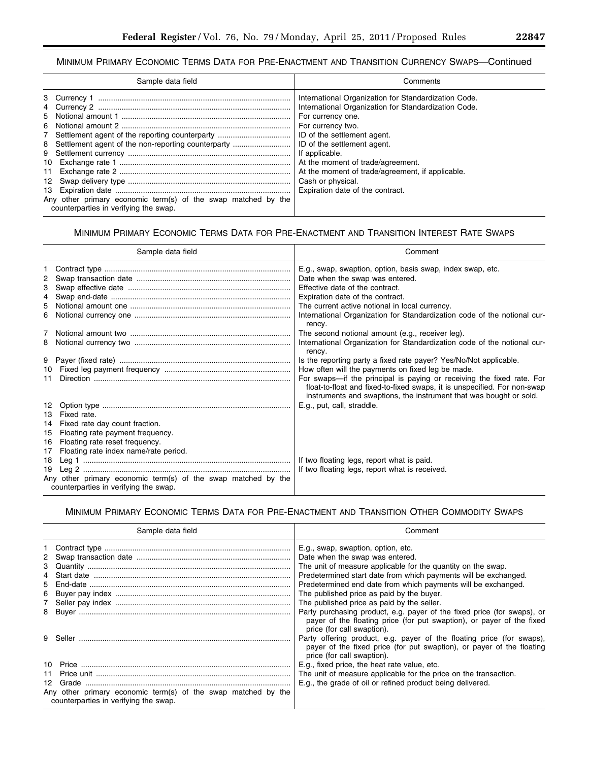Ξ

# MINIMUM PRIMARY ECONOMIC TERMS DATA FOR PRE-ENACTMENT AND TRANSITION CURRENCY SWAPS—Continued

| Sample data field                                                                                                                                                                                                  | Comments                                                                                                                                                                                                                                                                                                                                                                                 |
|--------------------------------------------------------------------------------------------------------------------------------------------------------------------------------------------------------------------|------------------------------------------------------------------------------------------------------------------------------------------------------------------------------------------------------------------------------------------------------------------------------------------------------------------------------------------------------------------------------------------|
| 7 Settlement agent of the reporting counterparty<br>8 Settlement agent of the non-reporting counterparty<br>Any other primary economic term(s) of the swap matched by the<br>counterparties in verifying the swap. | International Organization for Standardization Code.<br>International Organization for Standardization Code.<br>For currency one.<br>For currency two.<br>ID of the settlement agent.<br>ID of the settlement agent.<br>If applicable.<br>At the moment of trade/agreement.<br>At the moment of trade/agreement, if applicable.<br>Cash or physical.<br>Expiration date of the contract. |

# MINIMUM PRIMARY ECONOMIC TERMS DATA FOR PRE-ENACTMENT AND TRANSITION INTEREST RATE SWAPS

|                                  | Sample data field                                                                                                                                            | Comment                                                                                                                                                                                                                                                                                                                                           |
|----------------------------------|--------------------------------------------------------------------------------------------------------------------------------------------------------------|---------------------------------------------------------------------------------------------------------------------------------------------------------------------------------------------------------------------------------------------------------------------------------------------------------------------------------------------------|
| 3<br>4<br>5<br>6                 |                                                                                                                                                              | E.g., swap, swaption, option, basis swap, index swap, etc.<br>Date when the swap was entered.<br>Effective date of the contract.<br>Expiration date of the contract.<br>The current active notional in local currency.<br>International Organization for Standardization code of the notional cur-<br>rency.                                      |
| 7<br>8                           |                                                                                                                                                              | The second notional amount (e.g., receiver leg).<br>International Organization for Standardization code of the notional cur-<br>rency.                                                                                                                                                                                                            |
| 10<br>11                         |                                                                                                                                                              | Is the reporting party a fixed rate payer? Yes/No/Not applicable.<br>How often will the payments on fixed leg be made.<br>For swaps—if the principal is paying or receiving the fixed rate. For<br>float-to-float and fixed-to-fixed swaps, it is unspecified. For non-swap<br>instruments and swaptions, the instrument that was bought or sold. |
| 12<br>13<br>14<br>15<br>16<br>17 | Fixed rate.<br>Fixed rate day count fraction.<br>Floating rate payment frequency.<br>Floating rate reset frequency.<br>Floating rate index name/rate period. | E.g., put, call, straddle.                                                                                                                                                                                                                                                                                                                        |
| 18<br>19                         | Any other primary economic term(s) of the swap matched by the<br>counterparties in verifying the swap.                                                       | If two floating legs, report what is paid.<br>If two floating legs, report what is received.                                                                                                                                                                                                                                                      |

# MINIMUM PRIMARY ECONOMIC TERMS DATA FOR PRE-ENACTMENT AND TRANSITION OTHER COMMODITY SWAPS

|    | Sample data field                                                                                      | Comment                                                                                                                                                                                                                                                                                                                                                                                                                                         |
|----|--------------------------------------------------------------------------------------------------------|-------------------------------------------------------------------------------------------------------------------------------------------------------------------------------------------------------------------------------------------------------------------------------------------------------------------------------------------------------------------------------------------------------------------------------------------------|
| 5. |                                                                                                        | E.g., swap, swaption, option, etc.<br>Date when the swap was entered.<br>The unit of measure applicable for the quantity on the swap.<br>Predetermined start date from which payments will be exchanged.<br>Predetermined end date from which payments will be exchanged.<br>The published price as paid by the buyer.<br>The published price as paid by the seller.<br>Party purchasing product, e.g. payer of the fixed price (for swaps), or |
|    |                                                                                                        | payer of the floating price (for put swaption), or payer of the fixed<br>price (for call swaption).<br>Party offering product, e.g. payer of the floating price (for swaps),<br>payer of the fixed price (for put swaption), or payer of the floating<br>price (for call swaption).                                                                                                                                                             |
|    | Any other primary economic term(s) of the swap matched by the<br>counterparties in verifying the swap. | E.g., fixed price, the heat rate value, etc.<br>The unit of measure applicable for the price on the transaction.<br>E.g., the grade of oil or refined product being delivered.                                                                                                                                                                                                                                                                  |